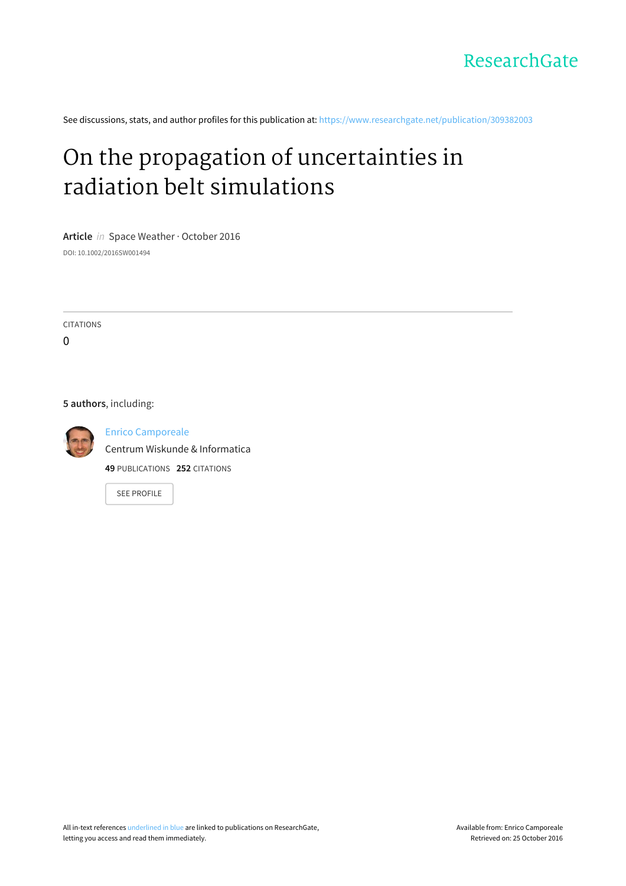

See discussions, stats, and author profiles for this publication at: [https://www.researchgate.net/publication/309382003](https://www.researchgate.net/publication/309382003_On_the_propagation_of_uncertainties_in_radiation_belt_simulations?enrichId=rgreq-30f51e652de543b70eef2c37ae28bfe3-XXX&enrichSource=Y292ZXJQYWdlOzMwOTM4MjAwMztBUzo0MjA2OTI1ODQ2MTU5NDVAMTQ3NzMxMjMzNjI3MA%3D%3D&el=1_x_2)

# On the propagation of [uncertainties](https://www.researchgate.net/publication/309382003_On_the_propagation_of_uncertainties_in_radiation_belt_simulations?enrichId=rgreq-30f51e652de543b70eef2c37ae28bfe3-XXX&enrichSource=Y292ZXJQYWdlOzMwOTM4MjAwMztBUzo0MjA2OTI1ODQ2MTU5NDVAMTQ3NzMxMjMzNjI3MA%3D%3D&el=1_x_3) in radiation belt simulations

**Article** in Space Weather · October 2016 DOI: 10.1002/2016SW001494

CITATIONS

 $\Omega$ 

### **5 authors**, including:



Enrico [Camporeale](https://www.researchgate.net/profile/Enrico_Camporeale?enrichId=rgreq-30f51e652de543b70eef2c37ae28bfe3-XXX&enrichSource=Y292ZXJQYWdlOzMwOTM4MjAwMztBUzo0MjA2OTI1ODQ2MTU5NDVAMTQ3NzMxMjMzNjI3MA%3D%3D&el=1_x_5) Centrum Wiskunde & [Informatica](https://www.researchgate.net/institution/Centrum_Wiskunde_Informatica?enrichId=rgreq-30f51e652de543b70eef2c37ae28bfe3-XXX&enrichSource=Y292ZXJQYWdlOzMwOTM4MjAwMztBUzo0MjA2OTI1ODQ2MTU5NDVAMTQ3NzMxMjMzNjI3MA%3D%3D&el=1_x_6) **49** PUBLICATIONS **252** CITATIONS

SEE [PROFILE](https://www.researchgate.net/profile/Enrico_Camporeale?enrichId=rgreq-30f51e652de543b70eef2c37ae28bfe3-XXX&enrichSource=Y292ZXJQYWdlOzMwOTM4MjAwMztBUzo0MjA2OTI1ODQ2MTU5NDVAMTQ3NzMxMjMzNjI3MA%3D%3D&el=1_x_7)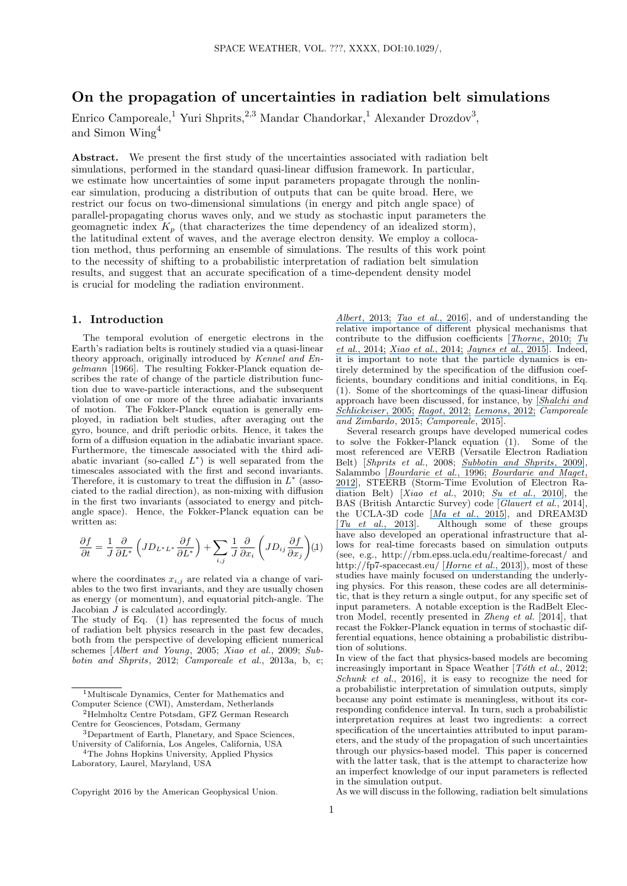# **On the propagation of uncertainties in radiation belt simulations**

Enrico Camporeale, <sup>1</sup> Yuri Shprits,<sup>2,3</sup> Mandar Chandorkar, <sup>1</sup> Alexander Drozdov<sup>3</sup>, and Simon Wing<sup>4</sup>

**Abstract.** We present the first study of the uncertainties associated with radiation belt simulations, performed in the standard quasi-linear diffusion framework. In particular, we estimate how uncertainties of some input parameters propagate through the nonlinear simulation, producing a distribution of outputs that can be quite broad. Here, we restrict our focus on two-dimensional simulations (in energy and pitch angle space) of parallel-propagating chorus waves only, and we study as stochastic input parameters the geomagnetic index  $K_p$  (that characterizes the time dependency of an idealized storm), the latitudinal extent of waves, and the average electron density. We employ a collocation method, thus performing an ensemble of simulations. The results of this work point to the necessity of shifting to a probabilistic interpretation of radiation belt simulation results, and suggest that an accurate specification of a time-dependent density model is crucial for modeling the radiation environment.

## **1. Introduction**

The temporal evolution of energetic electrons in the Earth's radiation belts is routinely studied via a quasi-linear theory approach, originally introduced by *Kennel and Engelmann* [1966]. The resulting Fokker-Planck equation describes the rate of change of the particle distribution function due to wave-particle interactions, and the subsequent violation of one or more of the three adiabatic invariants of motion. The Fokker-Planck equation is generally employed, in radiation belt studies, after averaging out the gyro, bounce, and drift periodic orbits. Hence, it takes the form of a diffusion equation in the adiabatic invariant space. Furthermore, the timescale associated with the third adiabatic invariant (so-called *L ∗* ) is well separated from the timescales associated with the first and second invariants. Therefore, it is customary to treat the diffusion in *L ∗* (associated to the radial direction), as non-mixing with diffusion in the first two invariants (associated to energy and pitchangle space). Hence, the Fokker-Planck equation can be written as:

$$
\frac{\partial f}{\partial t} = \frac{1}{J} \frac{\partial}{\partial L^*} \left( J D_{L^* L^*} \frac{\partial f}{\partial L^*} \right) + \sum_{i,j} \frac{1}{J} \frac{\partial}{\partial x_i} \left( J D_{ij} \frac{\partial f}{\partial x_j} \right) (1)
$$

where the coordinates  $x_{i,j}$  are related via a change of variables to the two first invariants, and they are usually chosen as energy (or momentum), and equatorial pitch-angle. The Jacobian  $\hat{J}$  is calculated accordingly.

The study of Eq. (1) has represented the focus of much of radiation belt physics research in the past few decades, both from the perspective of developing efficient numerical schemes [*Albert and Young*, 2005; *Xiao et al.*, 2009; *Subbotin and Shprits*, 2012; *Camporeale et al.*, 2013a, b, c;

*Albert*[, 2013;](https://www.researchgate.net/publication/259534107_Comment_on_On_the_numerical_simulation_of_particle_dynamics_in_the_radiation_belt_Part_I_Implicit_and_semi-implicit_schemes_and_On_the_numerical_simulation_of_particle_dynamics_in_the_radiation_belt_P?el=1_x_8&enrichId=rgreq-30f51e652de543b70eef2c37ae28bfe3-XXX&enrichSource=Y292ZXJQYWdlOzMwOTM4MjAwMztBUzo0MjA2OTI1ODQ2MTU5NDVAMTQ3NzMxMjMzNjI3MA==) *[Tao et al.](https://www.researchgate.net/publication/289706459_An_efficient_and_positivity-preserving_layer_method_for_modeling_radiation_belt_diffusion_processes?el=1_x_8&enrichId=rgreq-30f51e652de543b70eef2c37ae28bfe3-XXX&enrichSource=Y292ZXJQYWdlOzMwOTM4MjAwMztBUzo0MjA2OTI1ODQ2MTU5NDVAMTQ3NzMxMjMzNjI3MA==)*, 2016], and of understanding the relative importance of different physical mechanisms that contribute to the diffusion coefficients [*[Thorne](https://www.researchgate.net/publication/258392094_Radiation_belt_dynamics_The_importance_of_wave-particle_Interactions?el=1_x_8&enrichId=rgreq-30f51e652de543b70eef2c37ae28bfe3-XXX&enrichSource=Y292ZXJQYWdlOzMwOTM4MjAwMztBUzo0MjA2OTI1ODQ2MTU5NDVAMTQ3NzMxMjMzNjI3MA==)*, 2010; *[Tu](https://www.researchgate.net/publication/260412288_Event-specific_chorus_wave_and_electron_seed_population_models_in_DREAM3D_using_the_Van_Allen_Probes?el=1_x_8&enrichId=rgreq-30f51e652de543b70eef2c37ae28bfe3-XXX&enrichSource=Y292ZXJQYWdlOzMwOTM4MjAwMztBUzo0MjA2OTI1ODQ2MTU5NDVAMTQ3NzMxMjMzNjI3MA==) et al.*[, 2014;](https://www.researchgate.net/publication/260412288_Event-specific_chorus_wave_and_electron_seed_population_models_in_DREAM3D_using_the_Van_Allen_Probes?el=1_x_8&enrichId=rgreq-30f51e652de543b70eef2c37ae28bfe3-XXX&enrichSource=Y292ZXJQYWdlOzMwOTM4MjAwMztBUzo0MjA2OTI1ODQ2MTU5NDVAMTQ3NzMxMjMzNjI3MA==) *[Xiao et al.](https://www.researchgate.net/publication/262026437_Chorus_acceleration_of_radiation_belt_relativistic_electrons_during_March_2013_geomagnetic_storm?el=1_x_8&enrichId=rgreq-30f51e652de543b70eef2c37ae28bfe3-XXX&enrichSource=Y292ZXJQYWdlOzMwOTM4MjAwMztBUzo0MjA2OTI1ODQ2MTU5NDVAMTQ3NzMxMjMzNjI3MA==)*, 2014; *[Jaynes et al.](https://www.researchgate.net/publication/282545860_Source_and_Seed_Populations_for_Relativistic_Electrons_Their_Roles_in_Radiation_Belt_Changes?el=1_x_8&enrichId=rgreq-30f51e652de543b70eef2c37ae28bfe3-XXX&enrichSource=Y292ZXJQYWdlOzMwOTM4MjAwMztBUzo0MjA2OTI1ODQ2MTU5NDVAMTQ3NzMxMjMzNjI3MA==)*, 2015]. Indeed, it is important to note that the particle dynamics is entirely determined by the specification of the diffusion coefficients, boundary conditions and initial conditions, in Eq. (1). Some of the shortcomings of the quasi-linear diffusion approach have been discussed, for instance, by [*[Shalchi and](https://www.researchgate.net/publication/230958362_Evidence_for_the_Nonlinear_Transport_of_Galactic_Cosmic_Rays?el=1_x_8&enrichId=rgreq-30f51e652de543b70eef2c37ae28bfe3-XXX&enrichSource=Y292ZXJQYWdlOzMwOTM4MjAwMztBUzo0MjA2OTI1ODQ2MTU5NDVAMTQ3NzMxMjMzNjI3MA==) [Schlickeiser](https://www.researchgate.net/publication/230958362_Evidence_for_the_Nonlinear_Transport_of_Galactic_Cosmic_Rays?el=1_x_8&enrichId=rgreq-30f51e652de543b70eef2c37ae28bfe3-XXX&enrichSource=Y292ZXJQYWdlOzMwOTM4MjAwMztBUzo0MjA2OTI1ODQ2MTU5NDVAMTQ3NzMxMjMzNjI3MA==)* , 2005; *Ragot*[, 2012;](https://www.researchgate.net/publication/231154797_Pitch-angle_Scattering_Resonance_versus_Nonresonance_a_Basic_Test_of_the_Quasilinear_Diffusive_Result?el=1_x_8&enrichId=rgreq-30f51e652de543b70eef2c37ae28bfe3-XXX&enrichSource=Y292ZXJQYWdlOzMwOTM4MjAwMztBUzo0MjA2OTI1ODQ2MTU5NDVAMTQ3NzMxMjMzNjI3MA==) *[Lemons](https://www.researchgate.net/publication/234981918_Pitch_angle_scattering_of_relativistic_electrons_from_stationary_magnetic_waves_Continuous_Markov_process_and_quasilinear_theory?el=1_x_8&enrichId=rgreq-30f51e652de543b70eef2c37ae28bfe3-XXX&enrichSource=Y292ZXJQYWdlOzMwOTM4MjAwMztBUzo0MjA2OTI1ODQ2MTU5NDVAMTQ3NzMxMjMzNjI3MA==)*, 2012; *Camporeale and Zimbardo*, 2015; *Camporeale*, 2015].

Several research groups have developed numerical codes to solve the Fokker-Planck equation (1). Some of the most referenced are VERB (Versatile Electron Radiation Belt) [*Shprits et al.*, 2008; *[Subbotin and Shprits](https://www.researchgate.net/publication/241061017_Three-dimensional_modeling_of_the_radiation_belts_using_the_Versatile_Electron_Radiation_Belt_VERB_code?el=1_x_8&enrichId=rgreq-30f51e652de543b70eef2c37ae28bfe3-XXX&enrichSource=Y292ZXJQYWdlOzMwOTM4MjAwMztBUzo0MjA2OTI1ODQ2MTU5NDVAMTQ3NzMxMjMzNjI3MA==)*, 2009], Salammbo [*[Bourdarie et al.](https://www.researchgate.net/publication/246744659_Magnetic_storm_modeling_in_the_Earth)*, 1996; *[Bourdarie and Maget](https://www.researchgate.net/publication/243971542_Electron_radiation_belt_data_assimilation_with_an_ensemble_Kalman_filter_relying_on_the_Salammbo_code?el=1_x_8&enrichId=rgreq-30f51e652de543b70eef2c37ae28bfe3-XXX&enrichSource=Y292ZXJQYWdlOzMwOTM4MjAwMztBUzo0MjA2OTI1ODQ2MTU5NDVAMTQ3NzMxMjMzNjI3MA==)*, [2012\]](https://www.researchgate.net/publication/243971542_Electron_radiation_belt_data_assimilation_with_an_ensemble_Kalman_filter_relying_on_the_Salammbo_code?el=1_x_8&enrichId=rgreq-30f51e652de543b70eef2c37ae28bfe3-XXX&enrichSource=Y292ZXJQYWdlOzMwOTM4MjAwMztBUzo0MjA2OTI1ODQ2MTU5NDVAMTQ3NzMxMjMzNjI3MA==), STEERB (Storm-Time Evolution of Electron Radiation Belt) [*Xiao et al.*, 2010; *[Su et al.](https://www.researchgate.net/publication/251430575_STEERB_A_three-dimensional_code_for_storm-time_evolution_of_electron_radiation_belt?el=1_x_8&enrichId=rgreq-30f51e652de543b70eef2c37ae28bfe3-XXX&enrichSource=Y292ZXJQYWdlOzMwOTM4MjAwMztBUzo0MjA2OTI1ODQ2MTU5NDVAMTQ3NzMxMjMzNjI3MA==)*, 2010], the BAS (British Antarctic Survey) code [*Glauert et al.*, 2014], the UCLA-3D code  $\left[\frac{Ma \text{ et } al., 2015\right]$ , and DREAM3D  $\left[Tu \text{ et } al., 2013\right]$ . Although some of these groups Although some of these groups have also developed an operational infrastructure that allows for real-time forecasts based on simulation outputs (see, e.g., http://rbm.epss.ucla.edu/realtime-forecast/ and http://fp7-spacecast.eu/ [*[Horne et al.](https://www.researchgate.net/publication/236158768_Space_Weather_effects_on_satellites_and_forecasting_the_Earth)*, 2013]), most of these studies have mainly focused on understanding the underlying physics. For this reason, these codes are all deterministic, that is they return a single output, for any specific set of input parameters. A notable exception is the RadBelt Electron Model, recently presented in *Zheng et al.* [2014], that recast the Fokker-Planck equation in terms of stochastic differential equations, hence obtaining a probabilistic distribution of solutions.

In view of the fact that physics-based models are becoming increasingly important in Space Weather [*Tóth et al.*, 2012; *Schunk et al.*, 2016], it is easy to recognize the need for a probabilistic interpretation of simulation outputs, simply because any point estimate is meaningless, without its corresponding confidence interval. In turn, such a probabilistic interpretation requires at least two ingredients: a correct specification of the uncertainties attributed to input parameters, and the study of the propagation of such uncertainties through our physics-based model. This paper is concerned with the latter task, that is the attempt to characterize how an imperfect knowledge of our input parameters is reflected in the simulation output.

As we will discuss in the following, radiation belt simulations

<sup>1</sup>Multiscale Dynamics, Center for Mathematics and Computer Science (CWI), Amsterdam, Netherlands

<sup>2</sup>Helmholtz Centre Potsdam, GFZ German Research Centre for Geosciences, Potsdam, Germany

<sup>3</sup>Department of Earth, Planetary, and Space Sciences, University of California, Los Angeles, California, USA

<sup>4</sup>The Johns Hopkins University, Applied Physics Laboratory, Laurel, Maryland, USA

Copyright 2016 by the American Geophysical Union.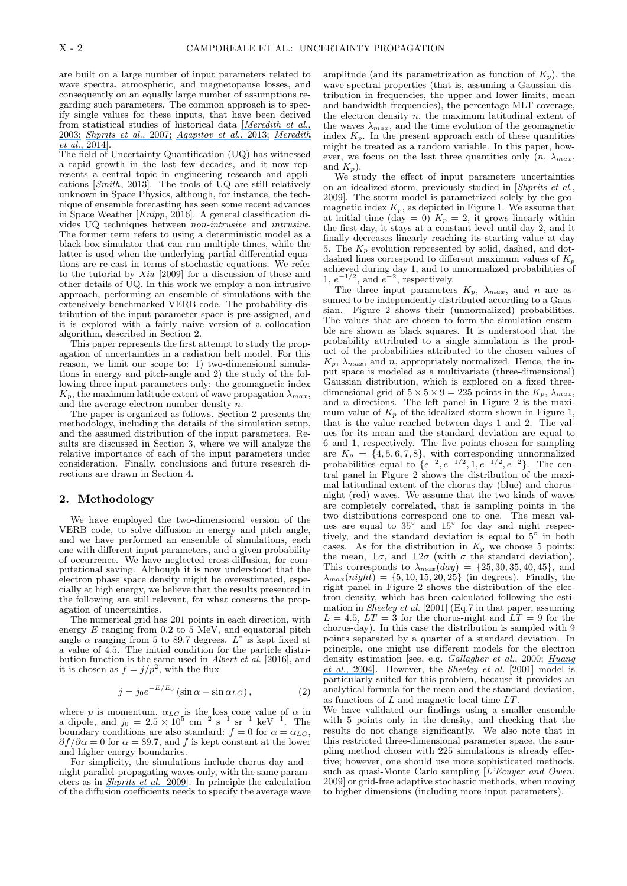are built on a large number of input parameters related to wave spectra, atmospheric, and magnetopause losses, and consequently on an equally large number of assumptions regarding such parameters. The common approach is to specify single values for these inputs, that have been derived from statistical studies of historical data [*[Meredith et al.](https://www.researchgate.net/publication/259591930_Statistical_analysis_of_relativistic_electron_energies_for_cyclotron_resonance_with_EMIC_waves_observed_on_CRRES?el=1_x_8&enrichId=rgreq-30f51e652de543b70eef2c37ae28bfe3-XXX&enrichSource=Y292ZXJQYWdlOzMwOTM4MjAwMztBUzo0MjA2OTI1ODQ2MTU5NDVAMTQ3NzMxMjMzNjI3MA==)*, [2003;](https://www.researchgate.net/publication/259591930_Statistical_analysis_of_relativistic_electron_energies_for_cyclotron_resonance_with_EMIC_waves_observed_on_CRRES?el=1_x_8&enrichId=rgreq-30f51e652de543b70eef2c37ae28bfe3-XXX&enrichSource=Y292ZXJQYWdlOzMwOTM4MjAwMztBUzo0MjA2OTI1ODQ2MTU5NDVAMTQ3NzMxMjMzNjI3MA==) *[Shprits et al.](https://www.researchgate.net/publication/253717949_Parameterization_of_radiation_belt_electron_loss_timescales_due_to_interactions_with_chorus_waves?el=1_x_8&enrichId=rgreq-30f51e652de543b70eef2c37ae28bfe3-XXX&enrichSource=Y292ZXJQYWdlOzMwOTM4MjAwMztBUzo0MjA2OTI1ODQ2MTU5NDVAMTQ3NzMxMjMzNjI3MA==)*, 2007; *[Agapitov et al.](https://www.researchgate.net/publication/260333800_Statistics_of_whistler_mode_waves_in_the_outer_radiation_belt_Cluster_STAFF-SA_measurements?el=1_x_8&enrichId=rgreq-30f51e652de543b70eef2c37ae28bfe3-XXX&enrichSource=Y292ZXJQYWdlOzMwOTM4MjAwMztBUzo0MjA2OTI1ODQ2MTU5NDVAMTQ3NzMxMjMzNjI3MA==)*, 2013; *[Meredith](https://www.researchgate.net/publication/263107725_Global_morphology_and_spectral_properties_of_EMIC_waves_derived_from_CRRES_observations?el=1_x_8&enrichId=rgreq-30f51e652de543b70eef2c37ae28bfe3-XXX&enrichSource=Y292ZXJQYWdlOzMwOTM4MjAwMztBUzo0MjA2OTI1ODQ2MTU5NDVAMTQ3NzMxMjMzNjI3MA==) et al.*[, 2014\]](https://www.researchgate.net/publication/263107725_Global_morphology_and_spectral_properties_of_EMIC_waves_derived_from_CRRES_observations?el=1_x_8&enrichId=rgreq-30f51e652de543b70eef2c37ae28bfe3-XXX&enrichSource=Y292ZXJQYWdlOzMwOTM4MjAwMztBUzo0MjA2OTI1ODQ2MTU5NDVAMTQ3NzMxMjMzNjI3MA==).

The field of Uncertainty Quantification (UQ) has witnessed a rapid growth in the last few decades, and it now represents a central topic in engineering research and applications [*Smith*, 2013]. The tools of UQ are still relatively unknown in Space Physics, although, for instance, the technique of ensemble forecasting has seen some recent advances in Space Weather [*Knipp*, 2016]. A general classification divides UQ techniques between *non-intrusive* and *intrusive*. The former term refers to using a deterministic model as a black-box simulator that can run multiple times, while the latter is used when the underlying partial differential equations are re-cast in terms of stochastic equations. We refer to the tutorial by *Xiu* [2009] for a discussion of these and other details of UQ. In this work we employ a non-intrusive approach, performing an ensemble of simulations with the extensively benchmarked VERB code. The probability distribution of the input parameter space is pre-assigned, and it is explored with a fairly naive version of a collocation algorithm, described in Section 2.

This paper represents the first attempt to study the propagation of uncertainties in a radiation belt model. For this reason, we limit our scope to: 1) two-dimensional simulations in energy and pitch-angle and 2) the study of the following three input parameters only: the geomagnetic index  $K_p$ , the maximum latitude extent of wave propagation  $\lambda_{max}$ , and the average electron number density *n*.

The paper is organized as follows. Section 2 presents the methodology, including the details of the simulation setup, and the assumed distribution of the input parameters. Results are discussed in Section 3, where we will analyze the relative importance of each of the input parameters under consideration. Finally, conclusions and future research directions are drawn in Section 4.

#### **2. Methodology**

We have employed the two-dimensional version of the VERB code, to solve diffusion in energy and pitch angle, and we have performed an ensemble of simulations, each one with different input parameters, and a given probability of occurrence. We have neglected cross-diffusion, for computational saving. Although it is now understood that the electron phase space density might be overestimated, especially at high energy, we believe that the results presented in the following are still relevant, for what concerns the propagation of uncertainties.

The numerical grid has 201 points in each direction, with energy  $E$  ranging from 0.2 to  $5$  MeV, and equatorial pitch angle  $\alpha$  ranging from 5 to 89.7 degrees.  $L^*$  is kept fixed at a value of 4.5. The initial condition for the particle distribution function is the same used in *Albert et al.* [2016], and it is chosen as  $f = j/p^2$ , with the flux

$$
j = j_0 e^{-E/E_0} (\sin \alpha - \sin \alpha_{LC}), \qquad (2)
$$

where *p* is momentum,  $\alpha_{LC}$  is the loss cone value of  $\alpha$  in a dipole, and  $j_0 = 2.5 \times 10^5$  cm<sup>-2</sup> s<sup>-1</sup> sr<sup>-1</sup> keV<sup>-1</sup>. The boundary conditions are also standard:  $f = 0$  for  $\alpha = \alpha_{LC}$ ,  $\partial f / \partial \alpha = 0$  for  $\alpha = 89.7$ , and f is kept constant at the lower and higher energy boundaries.

For simplicity, the simulations include chorus-day and night parallel-propagating waves only, with the same parameters as in *[Shprits et al.](https://www.researchgate.net/publication/241062580_Evolution_of_electron_flux_in_the_outer_radiation_belt_computed_with_the_VERB_code?el=1_x_8&enrichId=rgreq-30f51e652de543b70eef2c37ae28bfe3-XXX&enrichSource=Y292ZXJQYWdlOzMwOTM4MjAwMztBUzo0MjA2OTI1ODQ2MTU5NDVAMTQ3NzMxMjMzNjI3MA==)* [2009]. In principle the calculation of the diffusion coefficients needs to specify the average wave amplitude (and its parametrization as function of  $K_p$ ), the wave spectral properties (that is, assuming a Gaussian distribution in frequencies, the upper and lower limits, mean and bandwidth frequencies), the percentage MLT coverage, the electron density *n*, the maximum latitudinal extent of the waves  $\lambda_{max}$ , and the time evolution of the geomagnetic index  $K_p$ . In the present approach each of these quantities might be treated as a random variable. In this paper, however, we focus on the last three quantities only  $(n, \lambda_{max},$ and *Kp*).

We study the effect of input parameters uncertainties on an idealized storm, previously studied in [*Shprits et al.*, 2009]. The storm model is parametrized solely by the geomagnetic index  $K_p$ , as depicted in Figure 1. We assume that at initial time (day = 0)  $K_p = 2$ , it grows linearly within the first day, it stays at a constant level until day 2, and it finally decreases linearly reaching its starting value at day 5. The  $K_p$  evolution represented by solid, dashed, and dotdashed lines correspond to different maximum values of *K<sup>p</sup>* achieved during day 1, and to unnormalized probabilities of 1,  $e^{-1/2}$ , and  $e^{-2}$ , respectively.

The three input parameters  $K_p$ ,  $\lambda_{max}$ , and *n* are assumed to be independently distributed according to a Gaussian. Figure 2 shows their (unnormalized) probabilities. The values that are chosen to form the simulation ensemble are shown as black squares. It is understood that the probability attributed to a single simulation is the product of the probabilities attributed to the chosen values of  $K_p$ ,  $\lambda_{max}$ , and *n*, appropriately normalized. Hence, the input space is modeled as a multivariate (three-dimensional) Gaussian distribution, which is explored on a fixed threedimensional grid of  $5 \times 5 \times 9 = 225$  points in the  $K_p$ ,  $\lambda_{max}$ , and *n* directions. The left panel in Figure 2 is the maximum value of  $K_p$  of the idealized storm shown in Figure 1, that is the value reached between days 1 and 2. The values for its mean and the standard deviation are equal to 6 and 1, respectively. The five points chosen for sampling are  $K_p = \{4, 5, 6, 7, 8\}$ , with corresponding unnormalized probabilities equal to  $\{e^{-2}, e^{-1/2}, 1, e^{-1/2}, e^{-2}\}$ . The central panel in Figure 2 shows the distribution of the maximal latitudinal extent of the chorus-day (blue) and chorusnight (red) waves. We assume that the two kinds of waves are completely correlated, that is sampling points in the two distributions correspond one to one. The mean values are equal to 35*◦* and 15*◦* for day and night respectively, and the standard deviation is equal to 5*◦* in both cases. As for the distribution in  $K_p$  we choose 5 points: the mean,  $\pm \sigma$ , and  $\pm 2\sigma$  (with  $\sigma$  the standard deviation). This corresponds to  $\lambda_{max}(day) = \{25, 30, 35, 40, 45\}$ , and  $\lambda_{max}(night) = \{5, 10, 15, 20, 25\}$  (in degrees). Finally, the right panel in Figure 2 shows the distribution of the electron density, which has been calculated following the estimation in *Sheeley et al.* [2001] (Eq.7 in that paper, assuming  $L = 4.5$ ,  $LT = 3$  for the chorus-night and  $LT = 9$  for the chorus-day). In this case the distribution is sampled with 9 points separated by a quarter of a standard deviation. In principle, one might use different models for the electron density estimation [see, e.g. *Gallagher et al.*, 2000; *[Huang](https://www.researchgate.net/publication/229361733_Developing_an_empirical_density_model_of_the_plasmasphere_using_IMAGERPI_observations?el=1_x_8&enrichId=rgreq-30f51e652de543b70eef2c37ae28bfe3-XXX&enrichSource=Y292ZXJQYWdlOzMwOTM4MjAwMztBUzo0MjA2OTI1ODQ2MTU5NDVAMTQ3NzMxMjMzNjI3MA==) et al.*[, 2004\]](https://www.researchgate.net/publication/229361733_Developing_an_empirical_density_model_of_the_plasmasphere_using_IMAGERPI_observations?el=1_x_8&enrichId=rgreq-30f51e652de543b70eef2c37ae28bfe3-XXX&enrichSource=Y292ZXJQYWdlOzMwOTM4MjAwMztBUzo0MjA2OTI1ODQ2MTU5NDVAMTQ3NzMxMjMzNjI3MA==). However, the *Sheeley et al.* [2001] model is particularly suited for this problem, because it provides an analytical formula for the mean and the standard deviation, as functions of *L* and magnetic local time *LT*.

We have validated our findings using a smaller ensemble with 5 points only in the density, and checking that the results do not change significantly. We also note that in this restricted three-dimensional parameter space, the sampling method chosen with 225 simulations is already effective; however, one should use more sophisticated methods, such as quasi-Monte Carlo sampling [*L'Ecuyer and Owen*, 2009] or grid-free adaptive stochastic methods, when moving to higher dimensions (including more input parameters).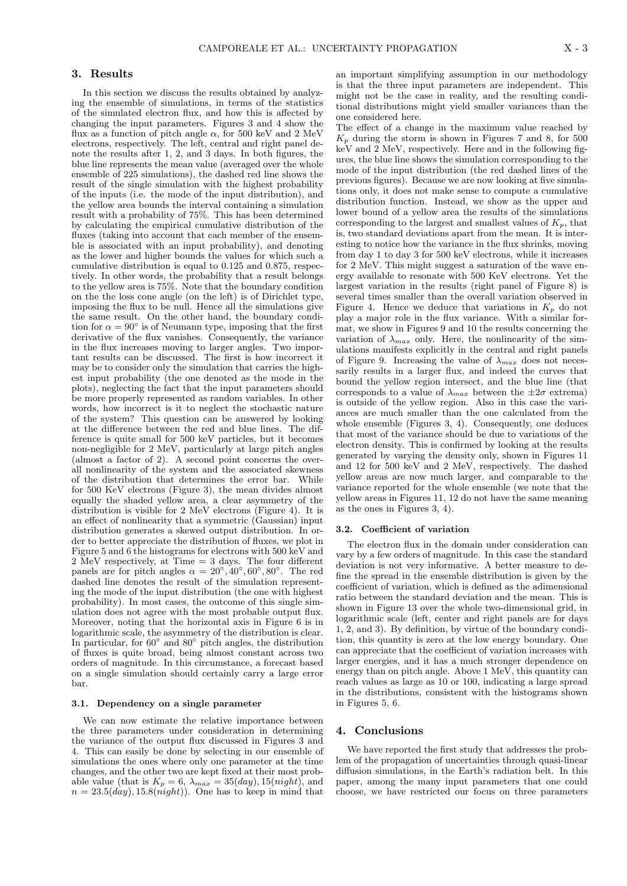#### **3. Results**

In this section we discuss the results obtained by analyzing the ensemble of simulations, in terms of the statistics of the simulated electron flux, and how this is affected by changing the input parameters. Figures 3 and 4 show the flux as a function of pitch angle  $\alpha$ , for 500 keV and 2 MeV electrons, respectively. The left, central and right panel denote the results after 1, 2, and 3 days. In both figures, the blue line represents the mean value (averaged over the whole ensemble of 225 simulations), the dashed red line shows the result of the single simulation with the highest probability of the inputs (i.e. the mode of the input distribution), and the yellow area bounds the interval containing a simulation result with a probability of 75%. This has been determined by calculating the empirical cumulative distribution of the fluxes (taking into account that each member of the ensemble is associated with an input probability), and denoting as the lower and higher bounds the values for which such a cumulative distribution is equal to 0.125 and 0.875, respectively. In other words, the probability that a result belongs to the yellow area is 75%. Note that the boundary condition on the the loss cone angle (on the left) is of Dirichlet type, imposing the flux to be null. Hence all the simulations give the same result. On the other hand, the boundary condition for  $\alpha = 90^{\circ}$  is of Neumann type, imposing that the first derivative of the flux vanishes. Consequently, the variance in the flux increases moving to larger angles. Two important results can be discussed. The first is how incorrect it may be to consider only the simulation that carries the highest input probability (the one denoted as the mode in the plots), neglecting the fact that the input parameters should be more properly represented as random variables. In other words, how incorrect is it to neglect the stochastic nature of the system? This question can be answered by looking at the difference between the red and blue lines. The difference is quite small for 500 keV particles, but it becomes non-negligible for 2 MeV, particularly at large pitch angles (almost a factor of 2). A second point concerns the overall nonlinearity of the system and the associated skewness of the distribution that determines the error bar. While for 500 KeV electrons (Figure 3), the mean divides almost equally the shaded yellow area, a clear asymmetry of the distribution is visible for 2 MeV electrons (Figure 4). It is an effect of nonlinearity that a symmetric (Gaussian) input distribution generates a skewed output distribution. In order to better appreciate the distribution of fluxes, we plot in Figure 5 and 6 the histograms for electrons with 500 keV and 2 MeV respectively, at Time = 3 days. The four different panels are for pitch angles  $\alpha = 20^{\circ}, 40^{\circ}, 60^{\circ}, 80^{\circ}$ . The red dashed line denotes the result of the simulation representing the mode of the input distribution (the one with highest probability). In most cases, the outcome of this single simulation does not agree with the most probable output flux. Moreover, noting that the horizontal axis in Figure 6 is in logarithmic scale, the asymmetry of the distribution is clear. In particular, for 60*◦* and 80*◦* pitch angles, the distribution of fluxes is quite broad, being almost constant across two orders of magnitude. In this circumstance, a forecast based on a single simulation should certainly carry a large error bar.

#### **3.1. Dependency on a single parameter**

We can now estimate the relative importance between the three parameters under consideration in determining the variance of the output flux discussed in Figures 3 and 4. This can easily be done by selecting in our ensemble of simulations the ones where only one parameter at the time changes, and the other two are kept fixed at their most probable value (that is  $K_p = 6$ ,  $\lambda_{max} = 35 (day)$ , 15(*night*), and  $n = 23.5 (day), 15.8 (night)).$  One has to keep in mind that an important simplifying assumption in our methodology is that the three input parameters are independent. This might not be the case in reality, and the resulting conditional distributions might yield smaller variances than the one considered here.

The effect of a change in the maximum value reached by  $K_p$  during the storm is shown in Figures 7 and 8, for 500 keV and 2 MeV, respectively. Here and in the following figures, the blue line shows the simulation corresponding to the mode of the input distribution (the red dashed lines of the previous figures). Because we are now looking at five simulations only, it does not make sense to compute a cumulative distribution function. Instead, we show as the upper and lower bound of a yellow area the results of the simulations corresponding to the largest and smallest values of *Kp*, that is, two standard deviations apart from the mean. It is interesting to notice how the variance in the flux shrinks, moving from day 1 to day 3 for 500 keV electrons, while it increases for 2 MeV. This might suggest a saturation of the wave energy available to resonate with 500 KeV electrons. Yet the largest variation in the results (right panel of Figure 8) is several times smaller than the overall variation observed in Figure 4. Hence we deduce that variations in  $K_p$  do not play a major role in the flux variance. With a similar format, we show in Figures 9 and 10 the results concerning the variation of  $\lambda_{max}$  only. Here, the nonlinearity of the simulations manifests explicitly in the central and right panels of Figure 9. Increasing the value of *λmax* does not necessarily results in a larger flux, and indeed the curves that bound the yellow region intersect, and the blue line (that corresponds to a value of  $\lambda_{max}$  between the  $\pm 2\sigma$  extrema) is outside of the yellow region. Also in this case the variances are much smaller than the one calculated from the whole ensemble (Figures 3, 4). Consequently, one deduces that most of the variance should be due to variations of the electron density. This is confirmed by looking at the results generated by varying the density only, shown in Figures 11 and 12 for 500 keV and 2 MeV, respectively. The dashed yellow areas are now much larger, and comparable to the variance reported for the whole ensemble (we note that the yellow areas in Figures 11, 12 do not have the same meaning as the ones in Figures 3, 4).

#### **3.2. Coefficient of variation**

The electron flux in the domain under consideration can vary by a few orders of magnitude. In this case the standard deviation is not very informative. A better measure to define the spread in the ensemble distribution is given by the coefficient of variation, which is defined as the adimensional ratio between the standard deviation and the mean. This is shown in Figure 13 over the whole two-dimensional grid, in logarithmic scale (left, center and right panels are for days 1, 2, and 3). By definition, by virtue of the boundary condition, this quantity is zero at the low energy boundary. One can appreciate that the coefficient of variation increases with larger energies, and it has a much stronger dependence on energy than on pitch angle. Above 1  $MeV$ , this quantity can reach values as large as 10 or 100, indicating a large spread in the distributions, consistent with the histograms shown in Figures 5, 6.

#### **4. Conclusions**

We have reported the first study that addresses the problem of the propagation of uncertainties through quasi-linear diffusion simulations, in the Earth's radiation belt. In this paper, among the many input parameters that one could choose, we have restricted our focus on three parameters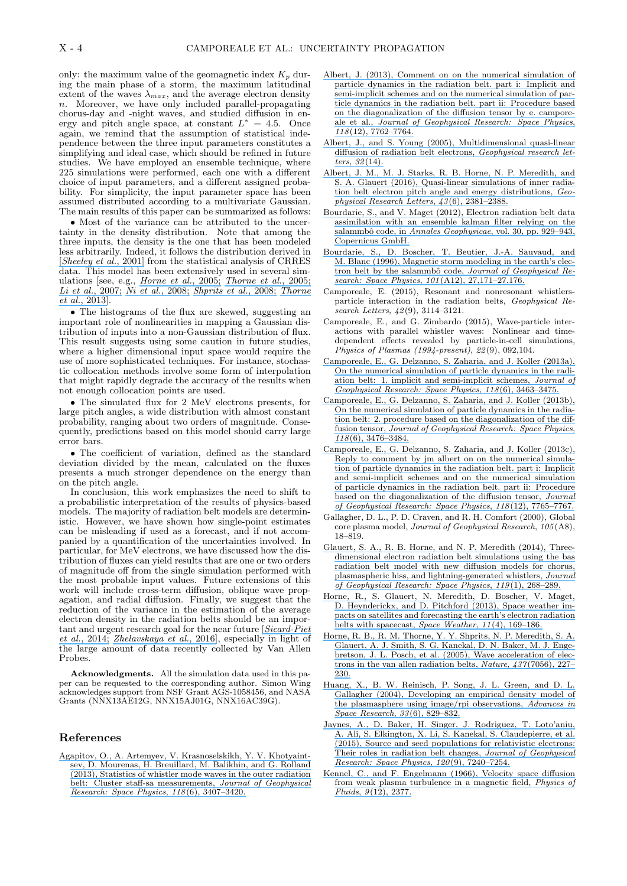only: the maximum value of the geomagnetic index  $K_p$  during the main phase of a storm, the maximum latitudinal extent of the waves  $\lambda_{max}$ , and the average electron density *n*. Moreover, we have only included parallel-propagating chorus-day and -night waves, and studied diffusion in energy and pitch angle space, at constant  $L^* = 4.5$ . Once again, we remind that the assumption of statistical independence between the three input parameters constitutes a simplifying and ideal case, which should be refined in future studies. We have employed an ensemble technique, where 225 simulations were performed, each one with a different choice of input parameters, and a different assigned probability. For simplicity, the input parameter space has been assumed distributed according to a multivariate Gaussian. The main results of this paper can be summarized as follows:

*•* Most of the variance can be attributed to the uncertainty in the density distribution. Note that among the three inputs, the density is the one that has been modeled less arbitrarily. Indeed, it follows the distribution derived in [*[Sheeley et al.](https://www.researchgate.net/publication/245323712_An_empirical_plasmasphere_and_trough_density_model_CRRES_observations?el=1_x_8&enrichId=rgreq-30f51e652de543b70eef2c37ae28bfe3-XXX&enrichSource=Y292ZXJQYWdlOzMwOTM4MjAwMztBUzo0MjA2OTI1ODQ2MTU5NDVAMTQ3NzMxMjMzNjI3MA==)*, 2001] from the statistical analysis of CRRES data. This model has been extensively used in several simulations [see, e.g., *[Horne et al.](https://www.researchgate.net/publication/7612937_Wave_acceleration_of_electrons_in_the_Van_Allen_radiation_belts?el=1_x_8&enrichId=rgreq-30f51e652de543b70eef2c37ae28bfe3-XXX&enrichSource=Y292ZXJQYWdlOzMwOTM4MjAwMztBUzo0MjA2OTI1ODQ2MTU5NDVAMTQ3NzMxMjMzNjI3MA==)*, 2005; *[Thorne et al.](https://www.researchgate.net/publication/259305161_Timescale_for_MEV_electron_microburst_loss_during_geomagnetic_storms?el=1_x_8&enrichId=rgreq-30f51e652de543b70eef2c37ae28bfe3-XXX&enrichSource=Y292ZXJQYWdlOzMwOTM4MjAwMztBUzo0MjA2OTI1ODQ2MTU5NDVAMTQ3NzMxMjMzNjI3MA==)*, 2005; *[Li et al.](https://www.researchgate.net/publication/251426035_Dynamic_evolution_of_energetic_outer_zone_electrons_due_to_wave-particle_interactions_during_storms?el=1_x_8&enrichId=rgreq-30f51e652de543b70eef2c37ae28bfe3-XXX&enrichSource=Y292ZXJQYWdlOzMwOTM4MjAwMztBUzo0MjA2OTI1ODQ2MTU5NDVAMTQ3NzMxMjMzNjI3MA==)*, 2007; *[Ni et al.](https://www.researchgate.net/publication/241588586_Resonant_scattering_of_plasma_sheet_electrons_by_whistler-mode_chorus_Contribution_to_diffuse_auroral_precipitation?el=1_x_8&enrichId=rgreq-30f51e652de543b70eef2c37ae28bfe3-XXX&enrichSource=Y292ZXJQYWdlOzMwOTM4MjAwMztBUzo0MjA2OTI1ODQ2MTU5NDVAMTQ3NzMxMjMzNjI3MA==)*, 2008; *[Shprits et al.](https://www.researchgate.net/publication/223712006_Review_of_modeling_of_losses_and_sources_of_relativistic_electrons_in_the_outer_radiation_belt_II_Local_acceleration_and_loss?el=1_x_8&enrichId=rgreq-30f51e652de543b70eef2c37ae28bfe3-XXX&enrichSource=Y292ZXJQYWdlOzMwOTM4MjAwMztBUzo0MjA2OTI1ODQ2MTU5NDVAMTQ3NzMxMjMzNjI3MA==)*, 2008; *[Thorne](https://www.researchgate.net/publication/259603430_Rapid_local_acceleration_of_relativistic_radiation-belt_electrons_by_magnetospheric_chorus?el=1_x_8&enrichId=rgreq-30f51e652de543b70eef2c37ae28bfe3-XXX&enrichSource=Y292ZXJQYWdlOzMwOTM4MjAwMztBUzo0MjA2OTI1ODQ2MTU5NDVAMTQ3NzMxMjMzNjI3MA==) et al.*[, 2013\]](https://www.researchgate.net/publication/259603430_Rapid_local_acceleration_of_relativistic_radiation-belt_electrons_by_magnetospheric_chorus?el=1_x_8&enrichId=rgreq-30f51e652de543b70eef2c37ae28bfe3-XXX&enrichSource=Y292ZXJQYWdlOzMwOTM4MjAwMztBUzo0MjA2OTI1ODQ2MTU5NDVAMTQ3NzMxMjMzNjI3MA==).

• The histograms of the flux are skewed, suggesting an important role of nonlinearities in mapping a Gaussian distribution of inputs into a non-Gaussian distribution of flux. This result suggests using some caution in future studies, where a higher dimensional input space would require the use of more sophisticated techniques. For instance, stochastic collocation methods involve some form of interpolation that might rapidly degrade the accuracy of the results when not enough collocation points are used.

*•* The simulated flux for 2 MeV electrons presents, for large pitch angles, a wide distribution with almost constant probability, ranging about two orders of magnitude. Consequently, predictions based on this model should carry large error bars.

*•* The coefficient of variation, defined as the standard deviation divided by the mean, calculated on the fluxes presents a much stronger dependence on the energy than on the pitch angle.

In conclusion, this work emphasizes the need to shift to a probabilistic interpretation of the results of physics-based models. The majority of radiation belt models are deterministic. However, we have shown how single-point estimates can be misleading if used as a forecast, and if not accompanied by a quantification of the uncertainties involved. In particular, for MeV electrons, we have discussed how the distribution of fluxes can yield results that are one or two orders of magnitude off from the single simulation performed with the most probable input values. Future extensions of this work will include cross-term diffusion, oblique wave propagation, and radial diffusion. Finally, we suggest that the reduction of the variance in the estimation of the average electron density in the radiation belts should be an important and urgent research goal for the near future [*[Sicard-Piet](https://www.researchgate.net/publication/264127091_Effect_of_plasma_density_on_diffusion_rates_due_to_wave_particle_interactions_with_chorus_and_plasmaspheric_hiss_Extreme_event_analysis?el=1_x_8&enrichId=rgreq-30f51e652de543b70eef2c37ae28bfe3-XXX&enrichSource=Y292ZXJQYWdlOzMwOTM4MjAwMztBUzo0MjA2OTI1ODQ2MTU5NDVAMTQ3NzMxMjMzNjI3MA==) et al.*[, 2014;](https://www.researchgate.net/publication/264127091_Effect_of_plasma_density_on_diffusion_rates_due_to_wave_particle_interactions_with_chorus_and_plasmaspheric_hiss_Extreme_event_analysis?el=1_x_8&enrichId=rgreq-30f51e652de543b70eef2c37ae28bfe3-XXX&enrichSource=Y292ZXJQYWdlOzMwOTM4MjAwMztBUzo0MjA2OTI1ODQ2MTU5NDVAMTQ3NzMxMjMzNjI3MA==) *[Zhelavskaya et al.](https://www.researchgate.net/publication/303089998_Automated_Determination_of_Electron_Density_from_Electric_Field_Measurements_on_the_Van_Allen_Probes_Spacecraft_AUTOMATED_ELECTRON_DENSITY_DETERMINATION?el=1_x_8&enrichId=rgreq-30f51e652de543b70eef2c37ae28bfe3-XXX&enrichSource=Y292ZXJQYWdlOzMwOTM4MjAwMztBUzo0MjA2OTI1ODQ2MTU5NDVAMTQ3NzMxMjMzNjI3MA==)*, 2016], especially in light of the large amount of data recently collected by Van Allen Probes.

**Acknowledgments.** All the simulation data used in this paper can be requested to the corresponding author. Simon Wing acknowledges support from NSF Grant AGS-1058456, and NASA Grants (NNX13AE12G, NNX15AJ01G, NNX16AC39G).

#### **References**

[Agapitov, O., A. Artemyev, V. Krasnoselskikh, Y. V. Khotyaint](https://www.researchgate.net/publication/260333800_Statistics_of_whistler_mode_waves_in_the_outer_radiation_belt_Cluster_STAFF-SA_measurements?el=1_x_8&enrichId=rgreq-30f51e652de543b70eef2c37ae28bfe3-XXX&enrichSource=Y292ZXJQYWdlOzMwOTM4MjAwMztBUzo0MjA2OTI1ODQ2MTU5NDVAMTQ3NzMxMjMzNjI3MA==)[sev, D. Mourenas, H. Breuillard, M. Balikhin, and G. Rolland](https://www.researchgate.net/publication/260333800_Statistics_of_whistler_mode_waves_in_the_outer_radiation_belt_Cluster_STAFF-SA_measurements?el=1_x_8&enrichId=rgreq-30f51e652de543b70eef2c37ae28bfe3-XXX&enrichSource=Y292ZXJQYWdlOzMwOTM4MjAwMztBUzo0MjA2OTI1ODQ2MTU5NDVAMTQ3NzMxMjMzNjI3MA==) [\(2013\), Statistics of whistler mode waves in the outer radiation](https://www.researchgate.net/publication/260333800_Statistics_of_whistler_mode_waves_in_the_outer_radiation_belt_Cluster_STAFF-SA_measurements?el=1_x_8&enrichId=rgreq-30f51e652de543b70eef2c37ae28bfe3-XXX&enrichSource=Y292ZXJQYWdlOzMwOTM4MjAwMztBUzo0MjA2OTI1ODQ2MTU5NDVAMTQ3NzMxMjMzNjI3MA==) [belt: Cluster staff-sa measurements,](https://www.researchgate.net/publication/260333800_Statistics_of_whistler_mode_waves_in_the_outer_radiation_belt_Cluster_STAFF-SA_measurements?el=1_x_8&enrichId=rgreq-30f51e652de543b70eef2c37ae28bfe3-XXX&enrichSource=Y292ZXJQYWdlOzMwOTM4MjAwMztBUzo0MjA2OTI1ODQ2MTU5NDVAMTQ3NzMxMjMzNjI3MA==) *Journal of Geophysical [Research: Space Physics](https://www.researchgate.net/publication/260333800_Statistics_of_whistler_mode_waves_in_the_outer_radiation_belt_Cluster_STAFF-SA_measurements?el=1_x_8&enrichId=rgreq-30f51e652de543b70eef2c37ae28bfe3-XXX&enrichSource=Y292ZXJQYWdlOzMwOTM4MjAwMztBUzo0MjA2OTI1ODQ2MTU5NDVAMTQ3NzMxMjMzNjI3MA==)*, *118*(6), 3407–3420.

- [Albert, J. \(2013\), Comment on on the numerical simulation of](https://www.researchgate.net/publication/259534107_Comment_on_On_the_numerical_simulation_of_particle_dynamics_in_the_radiation_belt_Part_I_Implicit_and_semi-implicit_schemes_and_On_the_numerical_simulation_of_particle_dynamics_in_the_radiation_belt_P?el=1_x_8&enrichId=rgreq-30f51e652de543b70eef2c37ae28bfe3-XXX&enrichSource=Y292ZXJQYWdlOzMwOTM4MjAwMztBUzo0MjA2OTI1ODQ2MTU5NDVAMTQ3NzMxMjMzNjI3MA==) [particle dynamics in the radiation belt. part i: Implicit and](https://www.researchgate.net/publication/259534107_Comment_on_On_the_numerical_simulation_of_particle_dynamics_in_the_radiation_belt_Part_I_Implicit_and_semi-implicit_schemes_and_On_the_numerical_simulation_of_particle_dynamics_in_the_radiation_belt_P?el=1_x_8&enrichId=rgreq-30f51e652de543b70eef2c37ae28bfe3-XXX&enrichSource=Y292ZXJQYWdlOzMwOTM4MjAwMztBUzo0MjA2OTI1ODQ2MTU5NDVAMTQ3NzMxMjMzNjI3MA==) [semi-implicit schemes and on the numerical simulation of par](https://www.researchgate.net/publication/259534107_Comment_on_On_the_numerical_simulation_of_particle_dynamics_in_the_radiation_belt_Part_I_Implicit_and_semi-implicit_schemes_and_On_the_numerical_simulation_of_particle_dynamics_in_the_radiation_belt_P?el=1_x_8&enrichId=rgreq-30f51e652de543b70eef2c37ae28bfe3-XXX&enrichSource=Y292ZXJQYWdlOzMwOTM4MjAwMztBUzo0MjA2OTI1ODQ2MTU5NDVAMTQ3NzMxMjMzNjI3MA==)[ticle dynamics in the radiation belt. part ii: Procedure based](https://www.researchgate.net/publication/259534107_Comment_on_On_the_numerical_simulation_of_particle_dynamics_in_the_radiation_belt_Part_I_Implicit_and_semi-implicit_schemes_and_On_the_numerical_simulation_of_particle_dynamics_in_the_radiation_belt_P?el=1_x_8&enrichId=rgreq-30f51e652de543b70eef2c37ae28bfe3-XXX&enrichSource=Y292ZXJQYWdlOzMwOTM4MjAwMztBUzo0MjA2OTI1ODQ2MTU5NDVAMTQ3NzMxMjMzNjI3MA==) [on the diagonalization of the diffusion tensor by e. campore](https://www.researchgate.net/publication/259534107_Comment_on_On_the_numerical_simulation_of_particle_dynamics_in_the_radiation_belt_Part_I_Implicit_and_semi-implicit_schemes_and_On_the_numerical_simulation_of_particle_dynamics_in_the_radiation_belt_P?el=1_x_8&enrichId=rgreq-30f51e652de543b70eef2c37ae28bfe3-XXX&enrichSource=Y292ZXJQYWdlOzMwOTM4MjAwMztBUzo0MjA2OTI1ODQ2MTU5NDVAMTQ3NzMxMjMzNjI3MA==)ale et al., *[Journal of Geophysical Research: Space Physics](https://www.researchgate.net/publication/259534107_Comment_on_On_the_numerical_simulation_of_particle_dynamics_in_the_radiation_belt_Part_I_Implicit_and_semi-implicit_schemes_and_On_the_numerical_simulation_of_particle_dynamics_in_the_radiation_belt_P?el=1_x_8&enrichId=rgreq-30f51e652de543b70eef2c37ae28bfe3-XXX&enrichSource=Y292ZXJQYWdlOzMwOTM4MjAwMztBUzo0MjA2OTI1ODQ2MTU5NDVAMTQ3NzMxMjMzNjI3MA==)*, *118*[\(12\), 7762–7764.](https://www.researchgate.net/publication/259534107_Comment_on_On_the_numerical_simulation_of_particle_dynamics_in_the_radiation_belt_Part_I_Implicit_and_semi-implicit_schemes_and_On_the_numerical_simulation_of_particle_dynamics_in_the_radiation_belt_P?el=1_x_8&enrichId=rgreq-30f51e652de543b70eef2c37ae28bfe3-XXX&enrichSource=Y292ZXJQYWdlOzMwOTM4MjAwMztBUzo0MjA2OTI1ODQ2MTU5NDVAMTQ3NzMxMjMzNjI3MA==)
- [Albert, J., and S. Young \(2005\), Multidimensional quasi-linear](https://www.researchgate.net/publication/235073876_Multidimensional_Quasi-Linear_Diffusion_of_Radiation_Belt_Electrons?el=1_x_8&enrichId=rgreq-30f51e652de543b70eef2c37ae28bfe3-XXX&enrichSource=Y292ZXJQYWdlOzMwOTM4MjAwMztBUzo0MjA2OTI1ODQ2MTU5NDVAMTQ3NzMxMjMzNjI3MA==) [diffusion of radiation belt electrons,](https://www.researchgate.net/publication/235073876_Multidimensional_Quasi-Linear_Diffusion_of_Radiation_Belt_Electrons?el=1_x_8&enrichId=rgreq-30f51e652de543b70eef2c37ae28bfe3-XXX&enrichSource=Y292ZXJQYWdlOzMwOTM4MjAwMztBUzo0MjA2OTI1ODQ2MTU5NDVAMTQ3NzMxMjMzNjI3MA==) *Geophysical research letters*, *32*[\(14\).](https://www.researchgate.net/publication/235073876_Multidimensional_Quasi-Linear_Diffusion_of_Radiation_Belt_Electrons?el=1_x_8&enrichId=rgreq-30f51e652de543b70eef2c37ae28bfe3-XXX&enrichSource=Y292ZXJQYWdlOzMwOTM4MjAwMztBUzo0MjA2OTI1ODQ2MTU5NDVAMTQ3NzMxMjMzNjI3MA==)
- [Albert, J. M., M. J. Starks, R. B. Horne, N. P. Meredith, and](https://www.researchgate.net/publication/297211555_Quasi-linear_simulations_of_inner_radiation_belt_electron_pitch_angle_and_energy_distributions?el=1_x_8&enrichId=rgreq-30f51e652de543b70eef2c37ae28bfe3-XXX&enrichSource=Y292ZXJQYWdlOzMwOTM4MjAwMztBUzo0MjA2OTI1ODQ2MTU5NDVAMTQ3NzMxMjMzNjI3MA==) [S. A. Glauert \(2016\), Quasi-linear simulations of inner radia](https://www.researchgate.net/publication/297211555_Quasi-linear_simulations_of_inner_radiation_belt_electron_pitch_angle_and_energy_distributions?el=1_x_8&enrichId=rgreq-30f51e652de543b70eef2c37ae28bfe3-XXX&enrichSource=Y292ZXJQYWdlOzMwOTM4MjAwMztBUzo0MjA2OTI1ODQ2MTU5NDVAMTQ3NzMxMjMzNjI3MA==)[tion belt electron pitch angle and energy distributions,](https://www.researchgate.net/publication/297211555_Quasi-linear_simulations_of_inner_radiation_belt_electron_pitch_angle_and_energy_distributions?el=1_x_8&enrichId=rgreq-30f51e652de543b70eef2c37ae28bfe3-XXX&enrichSource=Y292ZXJQYWdlOzMwOTM4MjAwMztBUzo0MjA2OTI1ODQ2MTU5NDVAMTQ3NzMxMjMzNjI3MA==) *Geo[physical Research Letters](https://www.researchgate.net/publication/297211555_Quasi-linear_simulations_of_inner_radiation_belt_electron_pitch_angle_and_energy_distributions?el=1_x_8&enrichId=rgreq-30f51e652de543b70eef2c37ae28bfe3-XXX&enrichSource=Y292ZXJQYWdlOzMwOTM4MjAwMztBUzo0MjA2OTI1ODQ2MTU5NDVAMTQ3NzMxMjMzNjI3MA==)*, *43*(6), 2381–2388.
- [Bourdarie, S., and V. Maget \(2012\), Electron radiation belt data](https://www.researchgate.net/publication/243971542_Electron_radiation_belt_data_assimilation_with_an_ensemble_Kalman_filter_relying_on_the_Salammbo_code?el=1_x_8&enrichId=rgreq-30f51e652de543b70eef2c37ae28bfe3-XXX&enrichSource=Y292ZXJQYWdlOzMwOTM4MjAwMztBUzo0MjA2OTI1ODQ2MTU5NDVAMTQ3NzMxMjMzNjI3MA==) [assimilation with an ensemble kalman filter relying on the](https://www.researchgate.net/publication/243971542_Electron_radiation_belt_data_assimilation_with_an_ensemble_Kalman_filter_relying_on_the_Salammbo_code?el=1_x_8&enrichId=rgreq-30f51e652de543b70eef2c37ae28bfe3-XXX&enrichSource=Y292ZXJQYWdlOzMwOTM4MjAwMztBUzo0MjA2OTI1ODQ2MTU5NDVAMTQ3NzMxMjMzNjI3MA==) salammbô code, in *Annales Geophysicae*[, vol. 30, pp. 929–943,](https://www.researchgate.net/publication/243971542_Electron_radiation_belt_data_assimilation_with_an_ensemble_Kalman_filter_relying_on_the_Salammbo_code?el=1_x_8&enrichId=rgreq-30f51e652de543b70eef2c37ae28bfe3-XXX&enrichSource=Y292ZXJQYWdlOzMwOTM4MjAwMztBUzo0MjA2OTI1ODQ2MTU5NDVAMTQ3NzMxMjMzNjI3MA==) [Copernicus GmbH.](https://www.researchgate.net/publication/243971542_Electron_radiation_belt_data_assimilation_with_an_ensemble_Kalman_filter_relying_on_the_Salammbo_code?el=1_x_8&enrichId=rgreq-30f51e652de543b70eef2c37ae28bfe3-XXX&enrichSource=Y292ZXJQYWdlOzMwOTM4MjAwMztBUzo0MjA2OTI1ODQ2MTU5NDVAMTQ3NzMxMjMzNjI3MA==)
- [Bourdarie, S., D. Boscher, T. Beutier, J.-A. Sauvaud, and](https://www.researchgate.net/publication/246744659_Magnetic_storm_modeling_in_the_Earth) [M. Blanc \(1996\), Magnetic storm modeling in the earth's elec](https://www.researchgate.net/publication/246744659_Magnetic_storm_modeling_in_the_Earth)tron belt by the salammbô code, *Journal of Geophysical Re[search: Space Physics](https://www.researchgate.net/publication/246744659_Magnetic_storm_modeling_in_the_Earth)*, *101*(A12), 27,171–27,176.
- Camporeale, E. (2015), Resonant and nonresonant whistlersparticle interaction in the radiation belts, *Geophysical Research Letters*, *42*(9), 3114–3121.
- Camporeale, E., and G. Zimbardo (2015), Wave-particle interactions with parallel whistler waves: Nonlinear and timedependent effects revealed by particle-in-cell simulations, *Physics of Plasmas (1994-present)*, *22*(9), 092,104.
- [Camporeale, E., G. Delzanno, S. Zaharia, and J. Koller \(2013a\),](https://www.researchgate.net/publication/257943607_On_the_numerical_simulation_of_particle_dynamics_in_the_radiation_belt_1_Implicit_and_semi-implicit_schemes?el=1_x_8&enrichId=rgreq-30f51e652de543b70eef2c37ae28bfe3-XXX&enrichSource=Y292ZXJQYWdlOzMwOTM4MjAwMztBUzo0MjA2OTI1ODQ2MTU5NDVAMTQ3NzMxMjMzNjI3MA==) [On the numerical simulation of particle dynamics in the radi](https://www.researchgate.net/publication/257943607_On_the_numerical_simulation_of_particle_dynamics_in_the_radiation_belt_1_Implicit_and_semi-implicit_schemes?el=1_x_8&enrichId=rgreq-30f51e652de543b70eef2c37ae28bfe3-XXX&enrichSource=Y292ZXJQYWdlOzMwOTM4MjAwMztBUzo0MjA2OTI1ODQ2MTU5NDVAMTQ3NzMxMjMzNjI3MA==)[ation belt: 1. implicit and semi-implicit schemes,](https://www.researchgate.net/publication/257943607_On_the_numerical_simulation_of_particle_dynamics_in_the_radiation_belt_1_Implicit_and_semi-implicit_schemes?el=1_x_8&enrichId=rgreq-30f51e652de543b70eef2c37ae28bfe3-XXX&enrichSource=Y292ZXJQYWdlOzMwOTM4MjAwMztBUzo0MjA2OTI1ODQ2MTU5NDVAMTQ3NzMxMjMzNjI3MA==) *Journal of [Geophysical Research: Space Physics](https://www.researchgate.net/publication/257943607_On_the_numerical_simulation_of_particle_dynamics_in_the_radiation_belt_1_Implicit_and_semi-implicit_schemes?el=1_x_8&enrichId=rgreq-30f51e652de543b70eef2c37ae28bfe3-XXX&enrichSource=Y292ZXJQYWdlOzMwOTM4MjAwMztBUzo0MjA2OTI1ODQ2MTU5NDVAMTQ3NzMxMjMzNjI3MA==)*, *118*(6), 3463–3475.
- [Camporeale, E., G. Delzanno, S. Zaharia, and J. Koller \(2013b\),](https://www.researchgate.net/publication/264268703_On_the_numerical_simulation_of_particle_dynamics_in_the_radiation_belt_2_Procedure_based_on_the_diagonalization_of_the_diffusion_tensor?el=1_x_8&enrichId=rgreq-30f51e652de543b70eef2c37ae28bfe3-XXX&enrichSource=Y292ZXJQYWdlOzMwOTM4MjAwMztBUzo0MjA2OTI1ODQ2MTU5NDVAMTQ3NzMxMjMzNjI3MA==) [On the numerical simulation of particle dynamics in the radia](https://www.researchgate.net/publication/264268703_On_the_numerical_simulation_of_particle_dynamics_in_the_radiation_belt_2_Procedure_based_on_the_diagonalization_of_the_diffusion_tensor?el=1_x_8&enrichId=rgreq-30f51e652de543b70eef2c37ae28bfe3-XXX&enrichSource=Y292ZXJQYWdlOzMwOTM4MjAwMztBUzo0MjA2OTI1ODQ2MTU5NDVAMTQ3NzMxMjMzNjI3MA==)[tion belt: 2. procedure based on the diagonalization of the dif](https://www.researchgate.net/publication/264268703_On_the_numerical_simulation_of_particle_dynamics_in_the_radiation_belt_2_Procedure_based_on_the_diagonalization_of_the_diffusion_tensor?el=1_x_8&enrichId=rgreq-30f51e652de543b70eef2c37ae28bfe3-XXX&enrichSource=Y292ZXJQYWdlOzMwOTM4MjAwMztBUzo0MjA2OTI1ODQ2MTU5NDVAMTQ3NzMxMjMzNjI3MA==)fusion tensor, *[Journal of Geophysical Research: Space Physics](https://www.researchgate.net/publication/264268703_On_the_numerical_simulation_of_particle_dynamics_in_the_radiation_belt_2_Procedure_based_on_the_diagonalization_of_the_diffusion_tensor?el=1_x_8&enrichId=rgreq-30f51e652de543b70eef2c37ae28bfe3-XXX&enrichSource=Y292ZXJQYWdlOzMwOTM4MjAwMztBUzo0MjA2OTI1ODQ2MTU5NDVAMTQ3NzMxMjMzNjI3MA==)*, *118*[\(6\), 3476–3484.](https://www.researchgate.net/publication/264268703_On_the_numerical_simulation_of_particle_dynamics_in_the_radiation_belt_2_Procedure_based_on_the_diagonalization_of_the_diffusion_tensor?el=1_x_8&enrichId=rgreq-30f51e652de543b70eef2c37ae28bfe3-XXX&enrichSource=Y292ZXJQYWdlOzMwOTM4MjAwMztBUzo0MjA2OTI1ODQ2MTU5NDVAMTQ3NzMxMjMzNjI3MA==)
- [Camporeale, E., G. Delzanno, S. Zaharia, and J. Koller \(2013c\),](https://www.researchgate.net/publication/259534251_Reply_to_comment_by_J_M_Albert_on_On_the_numerical_simulation_of_particle_dynamics_in_the_radiation_belt_Part_I_Implicit_and_semi-implicit_schemes_and_On_the_numerical_simulation_of_particle_dynamics_?el=1_x_8&enrichId=rgreq-30f51e652de543b70eef2c37ae28bfe3-XXX&enrichSource=Y292ZXJQYWdlOzMwOTM4MjAwMztBUzo0MjA2OTI1ODQ2MTU5NDVAMTQ3NzMxMjMzNjI3MA==) [Reply to comment by jm albert on on the numerical simula](https://www.researchgate.net/publication/259534251_Reply_to_comment_by_J_M_Albert_on_On_the_numerical_simulation_of_particle_dynamics_in_the_radiation_belt_Part_I_Implicit_and_semi-implicit_schemes_and_On_the_numerical_simulation_of_particle_dynamics_?el=1_x_8&enrichId=rgreq-30f51e652de543b70eef2c37ae28bfe3-XXX&enrichSource=Y292ZXJQYWdlOzMwOTM4MjAwMztBUzo0MjA2OTI1ODQ2MTU5NDVAMTQ3NzMxMjMzNjI3MA==)[tion of particle dynamics in the radiation belt. part i: Implicit](https://www.researchgate.net/publication/259534251_Reply_to_comment_by_J_M_Albert_on_On_the_numerical_simulation_of_particle_dynamics_in_the_radiation_belt_Part_I_Implicit_and_semi-implicit_schemes_and_On_the_numerical_simulation_of_particle_dynamics_?el=1_x_8&enrichId=rgreq-30f51e652de543b70eef2c37ae28bfe3-XXX&enrichSource=Y292ZXJQYWdlOzMwOTM4MjAwMztBUzo0MjA2OTI1ODQ2MTU5NDVAMTQ3NzMxMjMzNjI3MA==) [and semi-implicit schemes and on the numerical simulation](https://www.researchgate.net/publication/259534251_Reply_to_comment_by_J_M_Albert_on_On_the_numerical_simulation_of_particle_dynamics_in_the_radiation_belt_Part_I_Implicit_and_semi-implicit_schemes_and_On_the_numerical_simulation_of_particle_dynamics_?el=1_x_8&enrichId=rgreq-30f51e652de543b70eef2c37ae28bfe3-XXX&enrichSource=Y292ZXJQYWdlOzMwOTM4MjAwMztBUzo0MjA2OTI1ODQ2MTU5NDVAMTQ3NzMxMjMzNjI3MA==) [of particle dynamics in the radiation belt. part ii: Procedure](https://www.researchgate.net/publication/259534251_Reply_to_comment_by_J_M_Albert_on_On_the_numerical_simulation_of_particle_dynamics_in_the_radiation_belt_Part_I_Implicit_and_semi-implicit_schemes_and_On_the_numerical_simulation_of_particle_dynamics_?el=1_x_8&enrichId=rgreq-30f51e652de543b70eef2c37ae28bfe3-XXX&enrichSource=Y292ZXJQYWdlOzMwOTM4MjAwMztBUzo0MjA2OTI1ODQ2MTU5NDVAMTQ3NzMxMjMzNjI3MA==) [based on the diagonalization of the diffusion tensor,](https://www.researchgate.net/publication/259534251_Reply_to_comment_by_J_M_Albert_on_On_the_numerical_simulation_of_particle_dynamics_in_the_radiation_belt_Part_I_Implicit_and_semi-implicit_schemes_and_On_the_numerical_simulation_of_particle_dynamics_?el=1_x_8&enrichId=rgreq-30f51e652de543b70eef2c37ae28bfe3-XXX&enrichSource=Y292ZXJQYWdlOzMwOTM4MjAwMztBUzo0MjA2OTI1ODQ2MTU5NDVAMTQ3NzMxMjMzNjI3MA==) *Journal [of Geophysical Research: Space Physics](https://www.researchgate.net/publication/259534251_Reply_to_comment_by_J_M_Albert_on_On_the_numerical_simulation_of_particle_dynamics_in_the_radiation_belt_Part_I_Implicit_and_semi-implicit_schemes_and_On_the_numerical_simulation_of_particle_dynamics_?el=1_x_8&enrichId=rgreq-30f51e652de543b70eef2c37ae28bfe3-XXX&enrichSource=Y292ZXJQYWdlOzMwOTM4MjAwMztBUzo0MjA2OTI1ODQ2MTU5NDVAMTQ3NzMxMjMzNjI3MA==)*, *118*(12), 7765–7767.
- Gallagher, D. L., P. D. Craven, and R. H. Comfort (2000), Global core plasma model, *Journal of Geophysical Research*, *105*(A8), 18–819.
- [Glauert, S. A., R. B. Horne, and N. P. Meredith \(2014\), Three](https://www.researchgate.net/publication/259533570_Three-dimensional_electron_radiation_belt_simulations_using_the_BAS_Radiation_Belt_Model_with_new_diffusion_models_for_chorus_plasmaspheric_hiss_and_lightning-generated_whistlers?el=1_x_8&enrichId=rgreq-30f51e652de543b70eef2c37ae28bfe3-XXX&enrichSource=Y292ZXJQYWdlOzMwOTM4MjAwMztBUzo0MjA2OTI1ODQ2MTU5NDVAMTQ3NzMxMjMzNjI3MA==)[dimensional electron radiation belt simulations using the bas](https://www.researchgate.net/publication/259533570_Three-dimensional_electron_radiation_belt_simulations_using_the_BAS_Radiation_Belt_Model_with_new_diffusion_models_for_chorus_plasmaspheric_hiss_and_lightning-generated_whistlers?el=1_x_8&enrichId=rgreq-30f51e652de543b70eef2c37ae28bfe3-XXX&enrichSource=Y292ZXJQYWdlOzMwOTM4MjAwMztBUzo0MjA2OTI1ODQ2MTU5NDVAMTQ3NzMxMjMzNjI3MA==) [radiation belt model with new diffusion models for chorus,](https://www.researchgate.net/publication/259533570_Three-dimensional_electron_radiation_belt_simulations_using_the_BAS_Radiation_Belt_Model_with_new_diffusion_models_for_chorus_plasmaspheric_hiss_and_lightning-generated_whistlers?el=1_x_8&enrichId=rgreq-30f51e652de543b70eef2c37ae28bfe3-XXX&enrichSource=Y292ZXJQYWdlOzMwOTM4MjAwMztBUzo0MjA2OTI1ODQ2MTU5NDVAMTQ3NzMxMjMzNjI3MA==) [plasmaspheric hiss, and lightning-generated whistlers,](https://www.researchgate.net/publication/259533570_Three-dimensional_electron_radiation_belt_simulations_using_the_BAS_Radiation_Belt_Model_with_new_diffusion_models_for_chorus_plasmaspheric_hiss_and_lightning-generated_whistlers?el=1_x_8&enrichId=rgreq-30f51e652de543b70eef2c37ae28bfe3-XXX&enrichSource=Y292ZXJQYWdlOzMwOTM4MjAwMztBUzo0MjA2OTI1ODQ2MTU5NDVAMTQ3NzMxMjMzNjI3MA==) *Journal [of Geophysical Research: Space Physics](https://www.researchgate.net/publication/259533570_Three-dimensional_electron_radiation_belt_simulations_using_the_BAS_Radiation_Belt_Model_with_new_diffusion_models_for_chorus_plasmaspheric_hiss_and_lightning-generated_whistlers?el=1_x_8&enrichId=rgreq-30f51e652de543b70eef2c37ae28bfe3-XXX&enrichSource=Y292ZXJQYWdlOzMwOTM4MjAwMztBUzo0MjA2OTI1ODQ2MTU5NDVAMTQ3NzMxMjMzNjI3MA==)*, *119*(1), 268–289.
- [Horne, R., S. Glauert, N. Meredith, D. Boscher, V. Maget,](https://www.researchgate.net/publication/236158768_Space_Weather_effects_on_satellites_and_forecasting_the_Earth) [D. Heynderickx, and D. Pitchford \(2013\), Space weather im](https://www.researchgate.net/publication/236158768_Space_Weather_effects_on_satellites_and_forecasting_the_Earth)[pacts on satellites and forecasting the earth's electron radiation](https://www.researchgate.net/publication/236158768_Space_Weather_effects_on_satellites_and_forecasting_the_Earth) [belts with spacecast,](https://www.researchgate.net/publication/236158768_Space_Weather_effects_on_satellites_and_forecasting_the_Earth) *Space Weather*, *11*(4), 169–186.
- [Horne, R. B., R. M. Thorne, Y. Y. Shprits, N. P. Meredith, S. A.](https://www.researchgate.net/publication/7612937_Wave_acceleration_of_electrons_in_the_Van_Allen_radiation_belts?el=1_x_8&enrichId=rgreq-30f51e652de543b70eef2c37ae28bfe3-XXX&enrichSource=Y292ZXJQYWdlOzMwOTM4MjAwMztBUzo0MjA2OTI1ODQ2MTU5NDVAMTQ3NzMxMjMzNjI3MA==) [Glauert, A. J. Smith, S. G. Kanekal, D. N. Baker, M. J. Enge](https://www.researchgate.net/publication/7612937_Wave_acceleration_of_electrons_in_the_Van_Allen_radiation_belts?el=1_x_8&enrichId=rgreq-30f51e652de543b70eef2c37ae28bfe3-XXX&enrichSource=Y292ZXJQYWdlOzMwOTM4MjAwMztBUzo0MjA2OTI1ODQ2MTU5NDVAMTQ3NzMxMjMzNjI3MA==)[bretson, J. L. Posch, et al. \(2005\), Wave acceleration of elec](https://www.researchgate.net/publication/7612937_Wave_acceleration_of_electrons_in_the_Van_Allen_radiation_belts?el=1_x_8&enrichId=rgreq-30f51e652de543b70eef2c37ae28bfe3-XXX&enrichSource=Y292ZXJQYWdlOzMwOTM4MjAwMztBUzo0MjA2OTI1ODQ2MTU5NDVAMTQ3NzMxMjMzNjI3MA==)[trons in the van allen radiation belts,](https://www.researchgate.net/publication/7612937_Wave_acceleration_of_electrons_in_the_Van_Allen_radiation_belts?el=1_x_8&enrichId=rgreq-30f51e652de543b70eef2c37ae28bfe3-XXX&enrichSource=Y292ZXJQYWdlOzMwOTM4MjAwMztBUzo0MjA2OTI1ODQ2MTU5NDVAMTQ3NzMxMjMzNjI3MA==) *Nature*, *437*(7056), 227– [230.](https://www.researchgate.net/publication/7612937_Wave_acceleration_of_electrons_in_the_Van_Allen_radiation_belts?el=1_x_8&enrichId=rgreq-30f51e652de543b70eef2c37ae28bfe3-XXX&enrichSource=Y292ZXJQYWdlOzMwOTM4MjAwMztBUzo0MjA2OTI1ODQ2MTU5NDVAMTQ3NzMxMjMzNjI3MA==)
- [Huang, X., B. W. Reinisch, P. Song, J. L. Green, and D. L.](https://www.researchgate.net/publication/229361733_Developing_an_empirical_density_model_of_the_plasmasphere_using_IMAGERPI_observations?el=1_x_8&enrichId=rgreq-30f51e652de543b70eef2c37ae28bfe3-XXX&enrichSource=Y292ZXJQYWdlOzMwOTM4MjAwMztBUzo0MjA2OTI1ODQ2MTU5NDVAMTQ3NzMxMjMzNjI3MA==) [Gallagher \(2004\), Developing an empirical density model of](https://www.researchgate.net/publication/229361733_Developing_an_empirical_density_model_of_the_plasmasphere_using_IMAGERPI_observations?el=1_x_8&enrichId=rgreq-30f51e652de543b70eef2c37ae28bfe3-XXX&enrichSource=Y292ZXJQYWdlOzMwOTM4MjAwMztBUzo0MjA2OTI1ODQ2MTU5NDVAMTQ3NzMxMjMzNjI3MA==) [the plasmasphere using image/rpi observations,](https://www.researchgate.net/publication/229361733_Developing_an_empirical_density_model_of_the_plasmasphere_using_IMAGERPI_observations?el=1_x_8&enrichId=rgreq-30f51e652de543b70eef2c37ae28bfe3-XXX&enrichSource=Y292ZXJQYWdlOzMwOTM4MjAwMztBUzo0MjA2OTI1ODQ2MTU5NDVAMTQ3NzMxMjMzNjI3MA==) *Advances in [Space Research](https://www.researchgate.net/publication/229361733_Developing_an_empirical_density_model_of_the_plasmasphere_using_IMAGERPI_observations?el=1_x_8&enrichId=rgreq-30f51e652de543b70eef2c37ae28bfe3-XXX&enrichSource=Y292ZXJQYWdlOzMwOTM4MjAwMztBUzo0MjA2OTI1ODQ2MTU5NDVAMTQ3NzMxMjMzNjI3MA==)*, *33*(6), 829–832.
- [Jaynes, A., D. Baker, H. Singer, J. Rodriguez, T. Loto'aniu,](https://www.researchgate.net/publication/282545860_Source_and_Seed_Populations_for_Relativistic_Electrons_Their_Roles_in_Radiation_Belt_Changes?el=1_x_8&enrichId=rgreq-30f51e652de543b70eef2c37ae28bfe3-XXX&enrichSource=Y292ZXJQYWdlOzMwOTM4MjAwMztBUzo0MjA2OTI1ODQ2MTU5NDVAMTQ3NzMxMjMzNjI3MA==) [A. Ali, S. Elkington, X. Li, S. Kanekal, S. Claudepierre, et al.](https://www.researchgate.net/publication/282545860_Source_and_Seed_Populations_for_Relativistic_Electrons_Their_Roles_in_Radiation_Belt_Changes?el=1_x_8&enrichId=rgreq-30f51e652de543b70eef2c37ae28bfe3-XXX&enrichSource=Y292ZXJQYWdlOzMwOTM4MjAwMztBUzo0MjA2OTI1ODQ2MTU5NDVAMTQ3NzMxMjMzNjI3MA==) [\(2015\), Source and seed populations for relativistic electrons:](https://www.researchgate.net/publication/282545860_Source_and_Seed_Populations_for_Relativistic_Electrons_Their_Roles_in_Radiation_Belt_Changes?el=1_x_8&enrichId=rgreq-30f51e652de543b70eef2c37ae28bfe3-XXX&enrichSource=Y292ZXJQYWdlOzMwOTM4MjAwMztBUzo0MjA2OTI1ODQ2MTU5NDVAMTQ3NzMxMjMzNjI3MA==) [Their roles in radiation belt changes,](https://www.researchgate.net/publication/282545860_Source_and_Seed_Populations_for_Relativistic_Electrons_Their_Roles_in_Radiation_Belt_Changes?el=1_x_8&enrichId=rgreq-30f51e652de543b70eef2c37ae28bfe3-XXX&enrichSource=Y292ZXJQYWdlOzMwOTM4MjAwMztBUzo0MjA2OTI1ODQ2MTU5NDVAMTQ3NzMxMjMzNjI3MA==) *Journal of Geophysical [Research: Space Physics](https://www.researchgate.net/publication/282545860_Source_and_Seed_Populations_for_Relativistic_Electrons_Their_Roles_in_Radiation_Belt_Changes?el=1_x_8&enrichId=rgreq-30f51e652de543b70eef2c37ae28bfe3-XXX&enrichSource=Y292ZXJQYWdlOzMwOTM4MjAwMztBUzo0MjA2OTI1ODQ2MTU5NDVAMTQ3NzMxMjMzNjI3MA==)*, *120*(9), 7240–7254.
- [Kennel, C., and F. Engelmann \(1966\), Velocity space diffusion](https://www.researchgate.net/publication/253117914_Velocity_Space_Diffusion_from_Weak_Plasma_Turbulence_in_a_Magnetic_Field?el=1_x_8&enrichId=rgreq-30f51e652de543b70eef2c37ae28bfe3-XXX&enrichSource=Y292ZXJQYWdlOzMwOTM4MjAwMztBUzo0MjA2OTI1ODQ2MTU5NDVAMTQ3NzMxMjMzNjI3MA==) [from weak plasma turbulence in a magnetic field,](https://www.researchgate.net/publication/253117914_Velocity_Space_Diffusion_from_Weak_Plasma_Turbulence_in_a_Magnetic_Field?el=1_x_8&enrichId=rgreq-30f51e652de543b70eef2c37ae28bfe3-XXX&enrichSource=Y292ZXJQYWdlOzMwOTM4MjAwMztBUzo0MjA2OTI1ODQ2MTU5NDVAMTQ3NzMxMjMzNjI3MA==) *Physics of Fluids*, *9*[\(12\), 2377.](https://www.researchgate.net/publication/253117914_Velocity_Space_Diffusion_from_Weak_Plasma_Turbulence_in_a_Magnetic_Field?el=1_x_8&enrichId=rgreq-30f51e652de543b70eef2c37ae28bfe3-XXX&enrichSource=Y292ZXJQYWdlOzMwOTM4MjAwMztBUzo0MjA2OTI1ODQ2MTU5NDVAMTQ3NzMxMjMzNjI3MA==)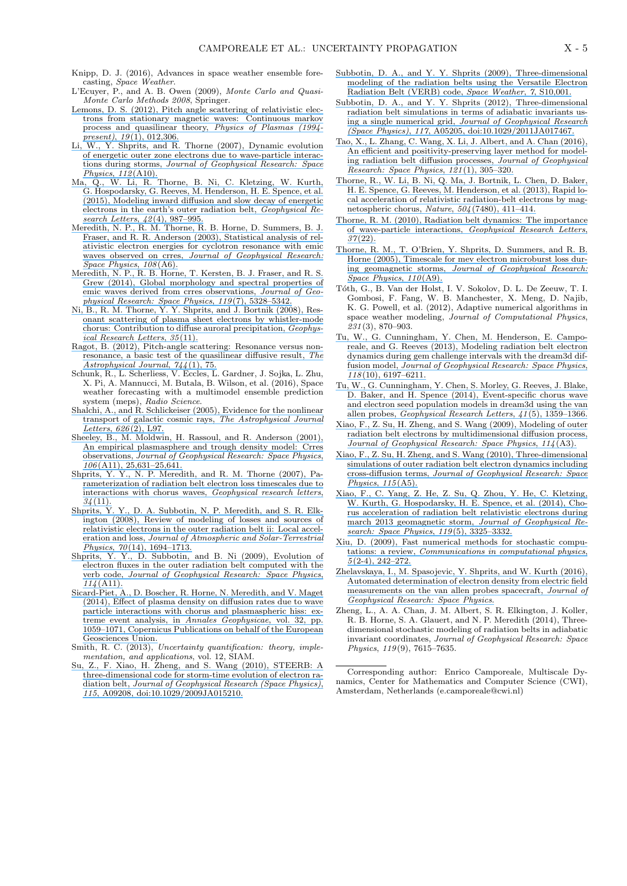- Knipp, D. J. (2016), Advances in space weather ensemble forecasting, *Space Weather*.
- L'Ecuyer, P., and A. B. Owen (2009), *Monte Carlo and Quasi-Monte Carlo Methods 2008*, Springer.
- [Lemons, D. S. \(2012\), Pitch angle scattering of relativistic elec](https://www.researchgate.net/publication/234981918_Pitch_angle_scattering_of_relativistic_electrons_from_stationary_magnetic_waves_Continuous_Markov_process_and_quasilinear_theory?el=1_x_8&enrichId=rgreq-30f51e652de543b70eef2c37ae28bfe3-XXX&enrichSource=Y292ZXJQYWdlOzMwOTM4MjAwMztBUzo0MjA2OTI1ODQ2MTU5NDVAMTQ3NzMxMjMzNjI3MA==)[trons from stationary magnetic waves: Continuous markov](https://www.researchgate.net/publication/234981918_Pitch_angle_scattering_of_relativistic_electrons_from_stationary_magnetic_waves_Continuous_Markov_process_and_quasilinear_theory?el=1_x_8&enrichId=rgreq-30f51e652de543b70eef2c37ae28bfe3-XXX&enrichSource=Y292ZXJQYWdlOzMwOTM4MjAwMztBUzo0MjA2OTI1ODQ2MTU5NDVAMTQ3NzMxMjMzNjI3MA==) [process and quasilinear theory,](https://www.researchgate.net/publication/234981918_Pitch_angle_scattering_of_relativistic_electrons_from_stationary_magnetic_waves_Continuous_Markov_process_and_quasilinear_theory?el=1_x_8&enrichId=rgreq-30f51e652de543b70eef2c37ae28bfe3-XXX&enrichSource=Y292ZXJQYWdlOzMwOTM4MjAwMztBUzo0MjA2OTI1ODQ2MTU5NDVAMTQ3NzMxMjMzNjI3MA==) *Physics of Plasmas (1994 present)*, *19*[\(1\), 012,306.](https://www.researchgate.net/publication/234981918_Pitch_angle_scattering_of_relativistic_electrons_from_stationary_magnetic_waves_Continuous_Markov_process_and_quasilinear_theory?el=1_x_8&enrichId=rgreq-30f51e652de543b70eef2c37ae28bfe3-XXX&enrichSource=Y292ZXJQYWdlOzMwOTM4MjAwMztBUzo0MjA2OTI1ODQ2MTU5NDVAMTQ3NzMxMjMzNjI3MA==)
- [Li, W., Y. Shprits, and R. Thorne \(2007\), Dynamic evolution](https://www.researchgate.net/publication/251426035_Dynamic_evolution_of_energetic_outer_zone_electrons_due_to_wave-particle_interactions_during_storms?el=1_x_8&enrichId=rgreq-30f51e652de543b70eef2c37ae28bfe3-XXX&enrichSource=Y292ZXJQYWdlOzMwOTM4MjAwMztBUzo0MjA2OTI1ODQ2MTU5NDVAMTQ3NzMxMjMzNjI3MA==) [of energetic outer zone electrons due to wave-particle interac](https://www.researchgate.net/publication/251426035_Dynamic_evolution_of_energetic_outer_zone_electrons_due_to_wave-particle_interactions_during_storms?el=1_x_8&enrichId=rgreq-30f51e652de543b70eef2c37ae28bfe3-XXX&enrichSource=Y292ZXJQYWdlOzMwOTM4MjAwMztBUzo0MjA2OTI1ODQ2MTU5NDVAMTQ3NzMxMjMzNjI3MA==)tions during storms, *[Journal of Geophysical Research: Space](https://www.researchgate.net/publication/251426035_Dynamic_evolution_of_energetic_outer_zone_electrons_due_to_wave-particle_interactions_during_storms?el=1_x_8&enrichId=rgreq-30f51e652de543b70eef2c37ae28bfe3-XXX&enrichSource=Y292ZXJQYWdlOzMwOTM4MjAwMztBUzo0MjA2OTI1ODQ2MTU5NDVAMTQ3NzMxMjMzNjI3MA==) [Physics](https://www.researchgate.net/publication/251426035_Dynamic_evolution_of_energetic_outer_zone_electrons_due_to_wave-particle_interactions_during_storms?el=1_x_8&enrichId=rgreq-30f51e652de543b70eef2c37ae28bfe3-XXX&enrichSource=Y292ZXJQYWdlOzMwOTM4MjAwMztBUzo0MjA2OTI1ODQ2MTU5NDVAMTQ3NzMxMjMzNjI3MA==)*, *112*(A10).
- [Ma, Q., W. Li, R. Thorne, B. Ni, C. Kletzing, W. Kurth,](https://www.researchgate.net/publication/271856082_Modeling_inward_diffusion_and_slow_decay_of_energetic_electrons_in_the_Earth) [G. Hospodarsky, G. Reeves, M. Henderson, H. E. Spence, et al.](https://www.researchgate.net/publication/271856082_Modeling_inward_diffusion_and_slow_decay_of_energetic_electrons_in_the_Earth) [\(2015\), Modeling inward diffusion and slow decay of energetic](https://www.researchgate.net/publication/271856082_Modeling_inward_diffusion_and_slow_decay_of_energetic_electrons_in_the_Earth) [electrons in the earth's outer radiation belt,](https://www.researchgate.net/publication/271856082_Modeling_inward_diffusion_and_slow_decay_of_energetic_electrons_in_the_Earth) *Geophysical Re[search Letters](https://www.researchgate.net/publication/271856082_Modeling_inward_diffusion_and_slow_decay_of_energetic_electrons_in_the_Earth)*, *42*(4), 987–995.
- [Meredith, N. P., R. M. Thorne, R. B. Horne, D. Summers, B. J.](https://www.researchgate.net/publication/259591930_Statistical_analysis_of_relativistic_electron_energies_for_cyclotron_resonance_with_EMIC_waves_observed_on_CRRES?el=1_x_8&enrichId=rgreq-30f51e652de543b70eef2c37ae28bfe3-XXX&enrichSource=Y292ZXJQYWdlOzMwOTM4MjAwMztBUzo0MjA2OTI1ODQ2MTU5NDVAMTQ3NzMxMjMzNjI3MA==) [Fraser, and R. R. Anderson \(2003\), Statistical analysis of rel](https://www.researchgate.net/publication/259591930_Statistical_analysis_of_relativistic_electron_energies_for_cyclotron_resonance_with_EMIC_waves_observed_on_CRRES?el=1_x_8&enrichId=rgreq-30f51e652de543b70eef2c37ae28bfe3-XXX&enrichSource=Y292ZXJQYWdlOzMwOTM4MjAwMztBUzo0MjA2OTI1ODQ2MTU5NDVAMTQ3NzMxMjMzNjI3MA==)[ativistic electron energies for cyclotron resonance with emic](https://www.researchgate.net/publication/259591930_Statistical_analysis_of_relativistic_electron_energies_for_cyclotron_resonance_with_EMIC_waves_observed_on_CRRES?el=1_x_8&enrichId=rgreq-30f51e652de543b70eef2c37ae28bfe3-XXX&enrichSource=Y292ZXJQYWdlOzMwOTM4MjAwMztBUzo0MjA2OTI1ODQ2MTU5NDVAMTQ3NzMxMjMzNjI3MA==) waves observed on crres, *[Journal of Geophysical Research:](https://www.researchgate.net/publication/259591930_Statistical_analysis_of_relativistic_electron_energies_for_cyclotron_resonance_with_EMIC_waves_observed_on_CRRES?el=1_x_8&enrichId=rgreq-30f51e652de543b70eef2c37ae28bfe3-XXX&enrichSource=Y292ZXJQYWdlOzMwOTM4MjAwMztBUzo0MjA2OTI1ODQ2MTU5NDVAMTQ3NzMxMjMzNjI3MA==) [Space Physics](https://www.researchgate.net/publication/259591930_Statistical_analysis_of_relativistic_electron_energies_for_cyclotron_resonance_with_EMIC_waves_observed_on_CRRES?el=1_x_8&enrichId=rgreq-30f51e652de543b70eef2c37ae28bfe3-XXX&enrichSource=Y292ZXJQYWdlOzMwOTM4MjAwMztBUzo0MjA2OTI1ODQ2MTU5NDVAMTQ3NzMxMjMzNjI3MA==)*, *108*(A6).
- [Meredith, N. P., R. B. Horne, T. Kersten, B. J. Fraser, and R. S.](https://www.researchgate.net/publication/263107725_Global_morphology_and_spectral_properties_of_EMIC_waves_derived_from_CRRES_observations?el=1_x_8&enrichId=rgreq-30f51e652de543b70eef2c37ae28bfe3-XXX&enrichSource=Y292ZXJQYWdlOzMwOTM4MjAwMztBUzo0MjA2OTI1ODQ2MTU5NDVAMTQ3NzMxMjMzNjI3MA==) [Grew \(2014\), Global morphology and spectral properties of](https://www.researchgate.net/publication/263107725_Global_morphology_and_spectral_properties_of_EMIC_waves_derived_from_CRRES_observations?el=1_x_8&enrichId=rgreq-30f51e652de543b70eef2c37ae28bfe3-XXX&enrichSource=Y292ZXJQYWdlOzMwOTM4MjAwMztBUzo0MjA2OTI1ODQ2MTU5NDVAMTQ3NzMxMjMzNjI3MA==) [emic waves derived from crres observations,](https://www.researchgate.net/publication/263107725_Global_morphology_and_spectral_properties_of_EMIC_waves_derived_from_CRRES_observations?el=1_x_8&enrichId=rgreq-30f51e652de543b70eef2c37ae28bfe3-XXX&enrichSource=Y292ZXJQYWdlOzMwOTM4MjAwMztBUzo0MjA2OTI1ODQ2MTU5NDVAMTQ3NzMxMjMzNjI3MA==) *Journal of Geo[physical Research: Space Physics](https://www.researchgate.net/publication/263107725_Global_morphology_and_spectral_properties_of_EMIC_waves_derived_from_CRRES_observations?el=1_x_8&enrichId=rgreq-30f51e652de543b70eef2c37ae28bfe3-XXX&enrichSource=Y292ZXJQYWdlOzMwOTM4MjAwMztBUzo0MjA2OTI1ODQ2MTU5NDVAMTQ3NzMxMjMzNjI3MA==)*, *119*(7), 5328–5342.
- [Ni, B., R. M. Thorne, Y. Y. Shprits, and J. Bortnik \(2008\), Res](https://www.researchgate.net/publication/241588586_Resonant_scattering_of_plasma_sheet_electrons_by_whistler-mode_chorus_Contribution_to_diffuse_auroral_precipitation?el=1_x_8&enrichId=rgreq-30f51e652de543b70eef2c37ae28bfe3-XXX&enrichSource=Y292ZXJQYWdlOzMwOTM4MjAwMztBUzo0MjA2OTI1ODQ2MTU5NDVAMTQ3NzMxMjMzNjI3MA==)[onant scattering of plasma sheet electrons by whistler-mode](https://www.researchgate.net/publication/241588586_Resonant_scattering_of_plasma_sheet_electrons_by_whistler-mode_chorus_Contribution_to_diffuse_auroral_precipitation?el=1_x_8&enrichId=rgreq-30f51e652de543b70eef2c37ae28bfe3-XXX&enrichSource=Y292ZXJQYWdlOzMwOTM4MjAwMztBUzo0MjA2OTI1ODQ2MTU5NDVAMTQ3NzMxMjMzNjI3MA==) [chorus: Contribution to diffuse auroral precipitation,](https://www.researchgate.net/publication/241588586_Resonant_scattering_of_plasma_sheet_electrons_by_whistler-mode_chorus_Contribution_to_diffuse_auroral_precipitation?el=1_x_8&enrichId=rgreq-30f51e652de543b70eef2c37ae28bfe3-XXX&enrichSource=Y292ZXJQYWdlOzMwOTM4MjAwMztBUzo0MjA2OTI1ODQ2MTU5NDVAMTQ3NzMxMjMzNjI3MA==) *Geophys[ical Research Letters](https://www.researchgate.net/publication/241588586_Resonant_scattering_of_plasma_sheet_electrons_by_whistler-mode_chorus_Contribution_to_diffuse_auroral_precipitation?el=1_x_8&enrichId=rgreq-30f51e652de543b70eef2c37ae28bfe3-XXX&enrichSource=Y292ZXJQYWdlOzMwOTM4MjAwMztBUzo0MjA2OTI1ODQ2MTU5NDVAMTQ3NzMxMjMzNjI3MA==)*, *35*(11).
- [Ragot, B. \(2012\), Pitch-angle scattering: Resonance versus non](https://www.researchgate.net/publication/231154797_Pitch-angle_Scattering_Resonance_versus_Nonresonance_a_Basic_Test_of_the_Quasilinear_Diffusive_Result?el=1_x_8&enrichId=rgreq-30f51e652de543b70eef2c37ae28bfe3-XXX&enrichSource=Y292ZXJQYWdlOzMwOTM4MjAwMztBUzo0MjA2OTI1ODQ2MTU5NDVAMTQ3NzMxMjMzNjI3MA==)[resonance, a basic test of the quasilinear diffusive result,](https://www.researchgate.net/publication/231154797_Pitch-angle_Scattering_Resonance_versus_Nonresonance_a_Basic_Test_of_the_Quasilinear_Diffusive_Result?el=1_x_8&enrichId=rgreq-30f51e652de543b70eef2c37ae28bfe3-XXX&enrichSource=Y292ZXJQYWdlOzMwOTM4MjAwMztBUzo0MjA2OTI1ODQ2MTU5NDVAMTQ3NzMxMjMzNjI3MA==) *The [Astrophysical Journal](https://www.researchgate.net/publication/231154797_Pitch-angle_Scattering_Resonance_versus_Nonresonance_a_Basic_Test_of_the_Quasilinear_Diffusive_Result?el=1_x_8&enrichId=rgreq-30f51e652de543b70eef2c37ae28bfe3-XXX&enrichSource=Y292ZXJQYWdlOzMwOTM4MjAwMztBUzo0MjA2OTI1ODQ2MTU5NDVAMTQ3NzMxMjMzNjI3MA==)*, *744*(1), 75.
- Schunk, R., L. Scherliess, V. Eccles, L. Gardner, J. Sojka, L. Zhu, X. Pi, A. Mannucci, M. Butala, B. Wilson, et al. (2016), Space weather forecasting with a multimodel ensemble prediction system (meps), *Radio Science*.
- [Shalchi, A., and R. Schlickeiser \(2005\), Evidence for the nonlinear](https://www.researchgate.net/publication/230958362_Evidence_for_the_Nonlinear_Transport_of_Galactic_Cosmic_Rays?el=1_x_8&enrichId=rgreq-30f51e652de543b70eef2c37ae28bfe3-XXX&enrichSource=Y292ZXJQYWdlOzMwOTM4MjAwMztBUzo0MjA2OTI1ODQ2MTU5NDVAMTQ3NzMxMjMzNjI3MA==) [transport of galactic cosmic rays,](https://www.researchgate.net/publication/230958362_Evidence_for_the_Nonlinear_Transport_of_Galactic_Cosmic_Rays?el=1_x_8&enrichId=rgreq-30f51e652de543b70eef2c37ae28bfe3-XXX&enrichSource=Y292ZXJQYWdlOzMwOTM4MjAwMztBUzo0MjA2OTI1ODQ2MTU5NDVAMTQ3NzMxMjMzNjI3MA==) *The Astrophysical Journal Letters*, *626*[\(2\), L97.](https://www.researchgate.net/publication/230958362_Evidence_for_the_Nonlinear_Transport_of_Galactic_Cosmic_Rays?el=1_x_8&enrichId=rgreq-30f51e652de543b70eef2c37ae28bfe3-XXX&enrichSource=Y292ZXJQYWdlOzMwOTM4MjAwMztBUzo0MjA2OTI1ODQ2MTU5NDVAMTQ3NzMxMjMzNjI3MA==)
- [Sheeley, B., M. Moldwin, H. Rassoul, and R. Anderson \(2001\),](https://www.researchgate.net/publication/245323712_An_empirical_plasmasphere_and_trough_density_model_CRRES_observations?el=1_x_8&enrichId=rgreq-30f51e652de543b70eef2c37ae28bfe3-XXX&enrichSource=Y292ZXJQYWdlOzMwOTM4MjAwMztBUzo0MjA2OTI1ODQ2MTU5NDVAMTQ3NzMxMjMzNjI3MA==) [An empirical plasmasphere and trough density model: Crres](https://www.researchgate.net/publication/245323712_An_empirical_plasmasphere_and_trough_density_model_CRRES_observations?el=1_x_8&enrichId=rgreq-30f51e652de543b70eef2c37ae28bfe3-XXX&enrichSource=Y292ZXJQYWdlOzMwOTM4MjAwMztBUzo0MjA2OTI1ODQ2MTU5NDVAMTQ3NzMxMjMzNjI3MA==) observations, *[Journal of Geophysical Research: Space Physics](https://www.researchgate.net/publication/245323712_An_empirical_plasmasphere_and_trough_density_model_CRRES_observations?el=1_x_8&enrichId=rgreq-30f51e652de543b70eef2c37ae28bfe3-XXX&enrichSource=Y292ZXJQYWdlOzMwOTM4MjAwMztBUzo0MjA2OTI1ODQ2MTU5NDVAMTQ3NzMxMjMzNjI3MA==)*, *106*[\(A11\), 25,631–25,641.](https://www.researchgate.net/publication/245323712_An_empirical_plasmasphere_and_trough_density_model_CRRES_observations?el=1_x_8&enrichId=rgreq-30f51e652de543b70eef2c37ae28bfe3-XXX&enrichSource=Y292ZXJQYWdlOzMwOTM4MjAwMztBUzo0MjA2OTI1ODQ2MTU5NDVAMTQ3NzMxMjMzNjI3MA==)
- [Shprits, Y. Y., N. P. Meredith, and R. M. Thorne \(2007\), Pa](https://www.researchgate.net/publication/253717949_Parameterization_of_radiation_belt_electron_loss_timescales_due_to_interactions_with_chorus_waves?el=1_x_8&enrichId=rgreq-30f51e652de543b70eef2c37ae28bfe3-XXX&enrichSource=Y292ZXJQYWdlOzMwOTM4MjAwMztBUzo0MjA2OTI1ODQ2MTU5NDVAMTQ3NzMxMjMzNjI3MA==)[rameterization of radiation belt electron loss timescales due to](https://www.researchgate.net/publication/253717949_Parameterization_of_radiation_belt_electron_loss_timescales_due_to_interactions_with_chorus_waves?el=1_x_8&enrichId=rgreq-30f51e652de543b70eef2c37ae28bfe3-XXX&enrichSource=Y292ZXJQYWdlOzMwOTM4MjAwMztBUzo0MjA2OTI1ODQ2MTU5NDVAMTQ3NzMxMjMzNjI3MA==) [interactions with chorus waves,](https://www.researchgate.net/publication/253717949_Parameterization_of_radiation_belt_electron_loss_timescales_due_to_interactions_with_chorus_waves?el=1_x_8&enrichId=rgreq-30f51e652de543b70eef2c37ae28bfe3-XXX&enrichSource=Y292ZXJQYWdlOzMwOTM4MjAwMztBUzo0MjA2OTI1ODQ2MTU5NDVAMTQ3NzMxMjMzNjI3MA==) *Geophysical research letters*, *34*[\(11\).](https://www.researchgate.net/publication/253717949_Parameterization_of_radiation_belt_electron_loss_timescales_due_to_interactions_with_chorus_waves?el=1_x_8&enrichId=rgreq-30f51e652de543b70eef2c37ae28bfe3-XXX&enrichSource=Y292ZXJQYWdlOzMwOTM4MjAwMztBUzo0MjA2OTI1ODQ2MTU5NDVAMTQ3NzMxMjMzNjI3MA==)
- [Shprits, Y. Y., D. A. Subbotin, N. P. Meredith, and S. R. Elk](https://www.researchgate.net/publication/223712006_Review_of_modeling_of_losses_and_sources_of_relativistic_electrons_in_the_outer_radiation_belt_II_Local_acceleration_and_loss?el=1_x_8&enrichId=rgreq-30f51e652de543b70eef2c37ae28bfe3-XXX&enrichSource=Y292ZXJQYWdlOzMwOTM4MjAwMztBUzo0MjA2OTI1ODQ2MTU5NDVAMTQ3NzMxMjMzNjI3MA==)[ington \(2008\), Review of modeling of losses and sources of](https://www.researchgate.net/publication/223712006_Review_of_modeling_of_losses_and_sources_of_relativistic_electrons_in_the_outer_radiation_belt_II_Local_acceleration_and_loss?el=1_x_8&enrichId=rgreq-30f51e652de543b70eef2c37ae28bfe3-XXX&enrichSource=Y292ZXJQYWdlOzMwOTM4MjAwMztBUzo0MjA2OTI1ODQ2MTU5NDVAMTQ3NzMxMjMzNjI3MA==) [relativistic electrons in the outer radiation belt ii: Local accel](https://www.researchgate.net/publication/223712006_Review_of_modeling_of_losses_and_sources_of_relativistic_electrons_in_the_outer_radiation_belt_II_Local_acceleration_and_loss?el=1_x_8&enrichId=rgreq-30f51e652de543b70eef2c37ae28bfe3-XXX&enrichSource=Y292ZXJQYWdlOzMwOTM4MjAwMztBUzo0MjA2OTI1ODQ2MTU5NDVAMTQ3NzMxMjMzNjI3MA==)eration and loss, *[Journal of Atmospheric and Solar-Terrestrial](https://www.researchgate.net/publication/223712006_Review_of_modeling_of_losses_and_sources_of_relativistic_electrons_in_the_outer_radiation_belt_II_Local_acceleration_and_loss?el=1_x_8&enrichId=rgreq-30f51e652de543b70eef2c37ae28bfe3-XXX&enrichSource=Y292ZXJQYWdlOzMwOTM4MjAwMztBUzo0MjA2OTI1ODQ2MTU5NDVAMTQ3NzMxMjMzNjI3MA==) Physics*, *70*[\(14\), 1694–1713.](https://www.researchgate.net/publication/223712006_Review_of_modeling_of_losses_and_sources_of_relativistic_electrons_in_the_outer_radiation_belt_II_Local_acceleration_and_loss?el=1_x_8&enrichId=rgreq-30f51e652de543b70eef2c37ae28bfe3-XXX&enrichSource=Y292ZXJQYWdlOzMwOTM4MjAwMztBUzo0MjA2OTI1ODQ2MTU5NDVAMTQ3NzMxMjMzNjI3MA==)
- [Shprits, Y. Y., D. Subbotin, and B. Ni \(2009\), Evolution of](https://www.researchgate.net/publication/241062580_Evolution_of_electron_flux_in_the_outer_radiation_belt_computed_with_the_VERB_code?el=1_x_8&enrichId=rgreq-30f51e652de543b70eef2c37ae28bfe3-XXX&enrichSource=Y292ZXJQYWdlOzMwOTM4MjAwMztBUzo0MjA2OTI1ODQ2MTU5NDVAMTQ3NzMxMjMzNjI3MA==) [electron fluxes in the outer radiation belt computed with the](https://www.researchgate.net/publication/241062580_Evolution_of_electron_flux_in_the_outer_radiation_belt_computed_with_the_VERB_code?el=1_x_8&enrichId=rgreq-30f51e652de543b70eef2c37ae28bfe3-XXX&enrichSource=Y292ZXJQYWdlOzMwOTM4MjAwMztBUzo0MjA2OTI1ODQ2MTU5NDVAMTQ3NzMxMjMzNjI3MA==) verb code, *[Journal of Geophysical Research: Space Physics](https://www.researchgate.net/publication/241062580_Evolution_of_electron_flux_in_the_outer_radiation_belt_computed_with_the_VERB_code?el=1_x_8&enrichId=rgreq-30f51e652de543b70eef2c37ae28bfe3-XXX&enrichSource=Y292ZXJQYWdlOzMwOTM4MjAwMztBUzo0MjA2OTI1ODQ2MTU5NDVAMTQ3NzMxMjMzNjI3MA==)*, *114*[\(A11\).](https://www.researchgate.net/publication/241062580_Evolution_of_electron_flux_in_the_outer_radiation_belt_computed_with_the_VERB_code?el=1_x_8&enrichId=rgreq-30f51e652de543b70eef2c37ae28bfe3-XXX&enrichSource=Y292ZXJQYWdlOzMwOTM4MjAwMztBUzo0MjA2OTI1ODQ2MTU5NDVAMTQ3NzMxMjMzNjI3MA==)
- [Sicard-Piet, A., D. Boscher, R. Horne, N. Meredith, and V. Maget](https://www.researchgate.net/publication/264127091_Effect_of_plasma_density_on_diffusion_rates_due_to_wave_particle_interactions_with_chorus_and_plasmaspheric_hiss_Extreme_event_analysis?el=1_x_8&enrichId=rgreq-30f51e652de543b70eef2c37ae28bfe3-XXX&enrichSource=Y292ZXJQYWdlOzMwOTM4MjAwMztBUzo0MjA2OTI1ODQ2MTU5NDVAMTQ3NzMxMjMzNjI3MA==) [\(2014\), Effect of plasma density on diffusion rates due to wave](https://www.researchgate.net/publication/264127091_Effect_of_plasma_density_on_diffusion_rates_due_to_wave_particle_interactions_with_chorus_and_plasmaspheric_hiss_Extreme_event_analysis?el=1_x_8&enrichId=rgreq-30f51e652de543b70eef2c37ae28bfe3-XXX&enrichSource=Y292ZXJQYWdlOzMwOTM4MjAwMztBUzo0MjA2OTI1ODQ2MTU5NDVAMTQ3NzMxMjMzNjI3MA==) [particle interactions with chorus and plasmaspheric hiss: ex](https://www.researchgate.net/publication/264127091_Effect_of_plasma_density_on_diffusion_rates_due_to_wave_particle_interactions_with_chorus_and_plasmaspheric_hiss_Extreme_event_analysis?el=1_x_8&enrichId=rgreq-30f51e652de543b70eef2c37ae28bfe3-XXX&enrichSource=Y292ZXJQYWdlOzMwOTM4MjAwMztBUzo0MjA2OTI1ODQ2MTU5NDVAMTQ3NzMxMjMzNjI3MA==)[treme event analysis, in](https://www.researchgate.net/publication/264127091_Effect_of_plasma_density_on_diffusion_rates_due_to_wave_particle_interactions_with_chorus_and_plasmaspheric_hiss_Extreme_event_analysis?el=1_x_8&enrichId=rgreq-30f51e652de543b70eef2c37ae28bfe3-XXX&enrichSource=Y292ZXJQYWdlOzMwOTM4MjAwMztBUzo0MjA2OTI1ODQ2MTU5NDVAMTQ3NzMxMjMzNjI3MA==) *Annales Geophysicae*, vol. 32, pp. [1059–1071, Copernicus Publications on behalf of the European](https://www.researchgate.net/publication/264127091_Effect_of_plasma_density_on_diffusion_rates_due_to_wave_particle_interactions_with_chorus_and_plasmaspheric_hiss_Extreme_event_analysis?el=1_x_8&enrichId=rgreq-30f51e652de543b70eef2c37ae28bfe3-XXX&enrichSource=Y292ZXJQYWdlOzMwOTM4MjAwMztBUzo0MjA2OTI1ODQ2MTU5NDVAMTQ3NzMxMjMzNjI3MA==) [Geosciences Union.](https://www.researchgate.net/publication/264127091_Effect_of_plasma_density_on_diffusion_rates_due_to_wave_particle_interactions_with_chorus_and_plasmaspheric_hiss_Extreme_event_analysis?el=1_x_8&enrichId=rgreq-30f51e652de543b70eef2c37ae28bfe3-XXX&enrichSource=Y292ZXJQYWdlOzMwOTM4MjAwMztBUzo0MjA2OTI1ODQ2MTU5NDVAMTQ3NzMxMjMzNjI3MA==)
- Smith, R. C. (2013), *Uncertainty quantification: theory, implementation, and applications*, vol. 12, SIAM.
- [Su, Z., F. Xiao, H. Zheng, and S. Wang \(2010\), STEERB: A](https://www.researchgate.net/publication/251430575_STEERB_A_three-dimensional_code_for_storm-time_evolution_of_electron_radiation_belt?el=1_x_8&enrichId=rgreq-30f51e652de543b70eef2c37ae28bfe3-XXX&enrichSource=Y292ZXJQYWdlOzMwOTM4MjAwMztBUzo0MjA2OTI1ODQ2MTU5NDVAMTQ3NzMxMjMzNjI3MA==) [three-dimensional code for storm-time evolution of electron ra](https://www.researchgate.net/publication/251430575_STEERB_A_three-dimensional_code_for_storm-time_evolution_of_electron_radiation_belt?el=1_x_8&enrichId=rgreq-30f51e652de543b70eef2c37ae28bfe3-XXX&enrichSource=Y292ZXJQYWdlOzMwOTM4MjAwMztBUzo0MjA2OTI1ODQ2MTU5NDVAMTQ3NzMxMjMzNjI3MA==)diation belt, *[Journal of Geophysical Research \(Space Physics\)](https://www.researchgate.net/publication/251430575_STEERB_A_three-dimensional_code_for_storm-time_evolution_of_electron_radiation_belt?el=1_x_8&enrichId=rgreq-30f51e652de543b70eef2c37ae28bfe3-XXX&enrichSource=Y292ZXJQYWdlOzMwOTM4MjAwMztBUzo0MjA2OTI1ODQ2MTU5NDVAMTQ3NzMxMjMzNjI3MA==)*, *115*[, A09208, doi:10.1029/2009JA015210.](https://www.researchgate.net/publication/251430575_STEERB_A_three-dimensional_code_for_storm-time_evolution_of_electron_radiation_belt?el=1_x_8&enrichId=rgreq-30f51e652de543b70eef2c37ae28bfe3-XXX&enrichSource=Y292ZXJQYWdlOzMwOTM4MjAwMztBUzo0MjA2OTI1ODQ2MTU5NDVAMTQ3NzMxMjMzNjI3MA==)
- [Subbotin, D. A., and Y. Y. Shprits \(2009\), Three-dimensional](https://www.researchgate.net/publication/241061017_Three-dimensional_modeling_of_the_radiation_belts_using_the_Versatile_Electron_Radiation_Belt_VERB_code?el=1_x_8&enrichId=rgreq-30f51e652de543b70eef2c37ae28bfe3-XXX&enrichSource=Y292ZXJQYWdlOzMwOTM4MjAwMztBUzo0MjA2OTI1ODQ2MTU5NDVAMTQ3NzMxMjMzNjI3MA==) [modeling of the radiation belts using the Versatile Electron](https://www.researchgate.net/publication/241061017_Three-dimensional_modeling_of_the_radiation_belts_using_the_Versatile_Electron_Radiation_Belt_VERB_code?el=1_x_8&enrichId=rgreq-30f51e652de543b70eef2c37ae28bfe3-XXX&enrichSource=Y292ZXJQYWdlOzMwOTM4MjAwMztBUzo0MjA2OTI1ODQ2MTU5NDVAMTQ3NzMxMjMzNjI3MA==) [Radiation Belt \(VERB\) code,](https://www.researchgate.net/publication/241061017_Three-dimensional_modeling_of_the_radiation_belts_using_the_Versatile_Electron_Radiation_Belt_VERB_code?el=1_x_8&enrichId=rgreq-30f51e652de543b70eef2c37ae28bfe3-XXX&enrichSource=Y292ZXJQYWdlOzMwOTM4MjAwMztBUzo0MjA2OTI1ODQ2MTU5NDVAMTQ3NzMxMjMzNjI3MA==) *Space Weather*, *7*, S10,001.
- [Subbotin, D. A., and Y. Y. Shprits \(2012\), Three-dimensional](https://www.researchgate.net/publication/258474587_Three-dimensional_Radiation_Belt_Simulations_in_Terms_of_Adiabatic_Invariants_Using_Only_One_Grid?el=1_x_8&enrichId=rgreq-30f51e652de543b70eef2c37ae28bfe3-XXX&enrichSource=Y292ZXJQYWdlOzMwOTM4MjAwMztBUzo0MjA2OTI1ODQ2MTU5NDVAMTQ3NzMxMjMzNjI3MA==) [radiation belt simulations in terms of adiabatic invariants us](https://www.researchgate.net/publication/258474587_Three-dimensional_Radiation_Belt_Simulations_in_Terms_of_Adiabatic_Invariants_Using_Only_One_Grid?el=1_x_8&enrichId=rgreq-30f51e652de543b70eef2c37ae28bfe3-XXX&enrichSource=Y292ZXJQYWdlOzMwOTM4MjAwMztBUzo0MjA2OTI1ODQ2MTU5NDVAMTQ3NzMxMjMzNjI3MA==)ing a single numerical grid, *[Journal of Geophysical Research](https://www.researchgate.net/publication/258474587_Three-dimensional_Radiation_Belt_Simulations_in_Terms_of_Adiabatic_Invariants_Using_Only_One_Grid?el=1_x_8&enrichId=rgreq-30f51e652de543b70eef2c37ae28bfe3-XXX&enrichSource=Y292ZXJQYWdlOzMwOTM4MjAwMztBUzo0MjA2OTI1ODQ2MTU5NDVAMTQ3NzMxMjMzNjI3MA==) (Space Physics)*, *117*[, A05205, doi:10.1029/2011JA017467.](https://www.researchgate.net/publication/258474587_Three-dimensional_Radiation_Belt_Simulations_in_Terms_of_Adiabatic_Invariants_Using_Only_One_Grid?el=1_x_8&enrichId=rgreq-30f51e652de543b70eef2c37ae28bfe3-XXX&enrichSource=Y292ZXJQYWdlOzMwOTM4MjAwMztBUzo0MjA2OTI1ODQ2MTU5NDVAMTQ3NzMxMjMzNjI3MA==)
- [Tao, X., L. Zhang, C. Wang, X. Li, J. Albert, and A. Chan \(2016\),](https://www.researchgate.net/publication/289706459_An_efficient_and_positivity-preserving_layer_method_for_modeling_radiation_belt_diffusion_processes?el=1_x_8&enrichId=rgreq-30f51e652de543b70eef2c37ae28bfe3-XXX&enrichSource=Y292ZXJQYWdlOzMwOTM4MjAwMztBUzo0MjA2OTI1ODQ2MTU5NDVAMTQ3NzMxMjMzNjI3MA==) [An efficient and positivity-preserving layer method for model](https://www.researchgate.net/publication/289706459_An_efficient_and_positivity-preserving_layer_method_for_modeling_radiation_belt_diffusion_processes?el=1_x_8&enrichId=rgreq-30f51e652de543b70eef2c37ae28bfe3-XXX&enrichSource=Y292ZXJQYWdlOzMwOTM4MjAwMztBUzo0MjA2OTI1ODQ2MTU5NDVAMTQ3NzMxMjMzNjI3MA==)[ing radiation belt diffusion processes,](https://www.researchgate.net/publication/289706459_An_efficient_and_positivity-preserving_layer_method_for_modeling_radiation_belt_diffusion_processes?el=1_x_8&enrichId=rgreq-30f51e652de543b70eef2c37ae28bfe3-XXX&enrichSource=Y292ZXJQYWdlOzMwOTM4MjAwMztBUzo0MjA2OTI1ODQ2MTU5NDVAMTQ3NzMxMjMzNjI3MA==) *Journal of Geophysical [Research: Space Physics](https://www.researchgate.net/publication/289706459_An_efficient_and_positivity-preserving_layer_method_for_modeling_radiation_belt_diffusion_processes?el=1_x_8&enrichId=rgreq-30f51e652de543b70eef2c37ae28bfe3-XXX&enrichSource=Y292ZXJQYWdlOzMwOTM4MjAwMztBUzo0MjA2OTI1ODQ2MTU5NDVAMTQ3NzMxMjMzNjI3MA==)*, *121*(1), 305–320.
- [Thorne, R., W. Li, B. Ni, Q. Ma, J. Bortnik, L. Chen, D. Baker,](https://www.researchgate.net/publication/259603430_Rapid_local_acceleration_of_relativistic_radiation-belt_electrons_by_magnetospheric_chorus?el=1_x_8&enrichId=rgreq-30f51e652de543b70eef2c37ae28bfe3-XXX&enrichSource=Y292ZXJQYWdlOzMwOTM4MjAwMztBUzo0MjA2OTI1ODQ2MTU5NDVAMTQ3NzMxMjMzNjI3MA==) [H. E. Spence, G. Reeves, M. Henderson, et al. \(2013\), Rapid lo](https://www.researchgate.net/publication/259603430_Rapid_local_acceleration_of_relativistic_radiation-belt_electrons_by_magnetospheric_chorus?el=1_x_8&enrichId=rgreq-30f51e652de543b70eef2c37ae28bfe3-XXX&enrichSource=Y292ZXJQYWdlOzMwOTM4MjAwMztBUzo0MjA2OTI1ODQ2MTU5NDVAMTQ3NzMxMjMzNjI3MA==)[cal acceleration of relativistic radiation-belt electrons by mag](https://www.researchgate.net/publication/259603430_Rapid_local_acceleration_of_relativistic_radiation-belt_electrons_by_magnetospheric_chorus?el=1_x_8&enrichId=rgreq-30f51e652de543b70eef2c37ae28bfe3-XXX&enrichSource=Y292ZXJQYWdlOzMwOTM4MjAwMztBUzo0MjA2OTI1ODQ2MTU5NDVAMTQ3NzMxMjMzNjI3MA==)[netospheric chorus,](https://www.researchgate.net/publication/259603430_Rapid_local_acceleration_of_relativistic_radiation-belt_electrons_by_magnetospheric_chorus?el=1_x_8&enrichId=rgreq-30f51e652de543b70eef2c37ae28bfe3-XXX&enrichSource=Y292ZXJQYWdlOzMwOTM4MjAwMztBUzo0MjA2OTI1ODQ2MTU5NDVAMTQ3NzMxMjMzNjI3MA==) *Nature*, *504*(7480), 411–414.
- [Thorne, R. M. \(2010\), Radiation belt dynamics: The importance](https://www.researchgate.net/publication/258392094_Radiation_belt_dynamics_The_importance_of_wave-particle_Interactions?el=1_x_8&enrichId=rgreq-30f51e652de543b70eef2c37ae28bfe3-XXX&enrichSource=Y292ZXJQYWdlOzMwOTM4MjAwMztBUzo0MjA2OTI1ODQ2MTU5NDVAMTQ3NzMxMjMzNjI3MA==) of wave-particle interactions, *[Geophysical Research Letters](https://www.researchgate.net/publication/258392094_Radiation_belt_dynamics_The_importance_of_wave-particle_Interactions?el=1_x_8&enrichId=rgreq-30f51e652de543b70eef2c37ae28bfe3-XXX&enrichSource=Y292ZXJQYWdlOzMwOTM4MjAwMztBUzo0MjA2OTI1ODQ2MTU5NDVAMTQ3NzMxMjMzNjI3MA==)*, *37*[\(22\).](https://www.researchgate.net/publication/258392094_Radiation_belt_dynamics_The_importance_of_wave-particle_Interactions?el=1_x_8&enrichId=rgreq-30f51e652de543b70eef2c37ae28bfe3-XXX&enrichSource=Y292ZXJQYWdlOzMwOTM4MjAwMztBUzo0MjA2OTI1ODQ2MTU5NDVAMTQ3NzMxMjMzNjI3MA==)
- [Thorne, R. M., T. O'Brien, Y. Shprits, D. Summers, and R. B.](https://www.researchgate.net/publication/259305161_Timescale_for_MEV_electron_microburst_loss_during_geomagnetic_storms?el=1_x_8&enrichId=rgreq-30f51e652de543b70eef2c37ae28bfe3-XXX&enrichSource=Y292ZXJQYWdlOzMwOTM4MjAwMztBUzo0MjA2OTI1ODQ2MTU5NDVAMTQ3NzMxMjMzNjI3MA==) [Horne \(2005\), Timescale for mev electron microburst loss dur](https://www.researchgate.net/publication/259305161_Timescale_for_MEV_electron_microburst_loss_during_geomagnetic_storms?el=1_x_8&enrichId=rgreq-30f51e652de543b70eef2c37ae28bfe3-XXX&enrichSource=Y292ZXJQYWdlOzMwOTM4MjAwMztBUzo0MjA2OTI1ODQ2MTU5NDVAMTQ3NzMxMjMzNjI3MA==)ing geomagnetic storms, *[Journal of Geophysical Research:](https://www.researchgate.net/publication/259305161_Timescale_for_MEV_electron_microburst_loss_during_geomagnetic_storms?el=1_x_8&enrichId=rgreq-30f51e652de543b70eef2c37ae28bfe3-XXX&enrichSource=Y292ZXJQYWdlOzMwOTM4MjAwMztBUzo0MjA2OTI1ODQ2MTU5NDVAMTQ3NzMxMjMzNjI3MA==) [Space Physics](https://www.researchgate.net/publication/259305161_Timescale_for_MEV_electron_microburst_loss_during_geomagnetic_storms?el=1_x_8&enrichId=rgreq-30f51e652de543b70eef2c37ae28bfe3-XXX&enrichSource=Y292ZXJQYWdlOzMwOTM4MjAwMztBUzo0MjA2OTI1ODQ2MTU5NDVAMTQ3NzMxMjMzNjI3MA==)*, *110*(A9).
- Tóth, G., B. Van der Holst, I. V. Sokolov, D. L. De Zeeuw, T. I. Gombosi, F. Fang, W. B. Manchester, X. Meng, D. Najib, K. G. Powell, et al. (2012), Adaptive numerical algorithms in space weather modeling, *Journal of Computational Physics*, *231*(3), 870–903.
- [Tu, W., G. Cunningham, Y. Chen, M. Henderson, E. Campo](https://www.researchgate.net/publication/260305204_Modeling_radiation_belt_electron_dynamics_during_GEM_challenge_intervals_with_the_DREAM3D_diffusion_model?el=1_x_8&enrichId=rgreq-30f51e652de543b70eef2c37ae28bfe3-XXX&enrichSource=Y292ZXJQYWdlOzMwOTM4MjAwMztBUzo0MjA2OTI1ODQ2MTU5NDVAMTQ3NzMxMjMzNjI3MA==)[reale, and G. Reeves \(2013\), Modeling radiation belt electron](https://www.researchgate.net/publication/260305204_Modeling_radiation_belt_electron_dynamics_during_GEM_challenge_intervals_with_the_DREAM3D_diffusion_model?el=1_x_8&enrichId=rgreq-30f51e652de543b70eef2c37ae28bfe3-XXX&enrichSource=Y292ZXJQYWdlOzMwOTM4MjAwMztBUzo0MjA2OTI1ODQ2MTU5NDVAMTQ3NzMxMjMzNjI3MA==) [dynamics during gem challenge intervals with the dream3d dif](https://www.researchgate.net/publication/260305204_Modeling_radiation_belt_electron_dynamics_during_GEM_challenge_intervals_with_the_DREAM3D_diffusion_model?el=1_x_8&enrichId=rgreq-30f51e652de543b70eef2c37ae28bfe3-XXX&enrichSource=Y292ZXJQYWdlOzMwOTM4MjAwMztBUzo0MjA2OTI1ODQ2MTU5NDVAMTQ3NzMxMjMzNjI3MA==)fusion model, *[Journal of Geophysical Research: Space Physics](https://www.researchgate.net/publication/260305204_Modeling_radiation_belt_electron_dynamics_during_GEM_challenge_intervals_with_the_DREAM3D_diffusion_model?el=1_x_8&enrichId=rgreq-30f51e652de543b70eef2c37ae28bfe3-XXX&enrichSource=Y292ZXJQYWdlOzMwOTM4MjAwMztBUzo0MjA2OTI1ODQ2MTU5NDVAMTQ3NzMxMjMzNjI3MA==)*, *118*[\(10\), 6197–6211.](https://www.researchgate.net/publication/260305204_Modeling_radiation_belt_electron_dynamics_during_GEM_challenge_intervals_with_the_DREAM3D_diffusion_model?el=1_x_8&enrichId=rgreq-30f51e652de543b70eef2c37ae28bfe3-XXX&enrichSource=Y292ZXJQYWdlOzMwOTM4MjAwMztBUzo0MjA2OTI1ODQ2MTU5NDVAMTQ3NzMxMjMzNjI3MA==)
- [Tu, W., G. Cunningham, Y. Chen, S. Morley, G. Reeves, J. Blake,](https://www.researchgate.net/publication/260412288_Event-specific_chorus_wave_and_electron_seed_population_models_in_DREAM3D_using_the_Van_Allen_Probes?el=1_x_8&enrichId=rgreq-30f51e652de543b70eef2c37ae28bfe3-XXX&enrichSource=Y292ZXJQYWdlOzMwOTM4MjAwMztBUzo0MjA2OTI1ODQ2MTU5NDVAMTQ3NzMxMjMzNjI3MA==) [D. Baker, and H. Spence \(2014\), Event-specific chorus wave](https://www.researchgate.net/publication/260412288_Event-specific_chorus_wave_and_electron_seed_population_models_in_DREAM3D_using_the_Van_Allen_Probes?el=1_x_8&enrichId=rgreq-30f51e652de543b70eef2c37ae28bfe3-XXX&enrichSource=Y292ZXJQYWdlOzMwOTM4MjAwMztBUzo0MjA2OTI1ODQ2MTU5NDVAMTQ3NzMxMjMzNjI3MA==) [and electron seed population models in dream3d using the van](https://www.researchgate.net/publication/260412288_Event-specific_chorus_wave_and_electron_seed_population_models_in_DREAM3D_using_the_Van_Allen_Probes?el=1_x_8&enrichId=rgreq-30f51e652de543b70eef2c37ae28bfe3-XXX&enrichSource=Y292ZXJQYWdlOzMwOTM4MjAwMztBUzo0MjA2OTI1ODQ2MTU5NDVAMTQ3NzMxMjMzNjI3MA==) allen probes, *[Geophysical Research Letters](https://www.researchgate.net/publication/260412288_Event-specific_chorus_wave_and_electron_seed_population_models_in_DREAM3D_using_the_Van_Allen_Probes?el=1_x_8&enrichId=rgreq-30f51e652de543b70eef2c37ae28bfe3-XXX&enrichSource=Y292ZXJQYWdlOzMwOTM4MjAwMztBUzo0MjA2OTI1ODQ2MTU5NDVAMTQ3NzMxMjMzNjI3MA==)*, *41*(5), 1359–1366.
- [Xiao, F., Z. Su, H. Zheng, and S. Wang \(2009\), Modeling of outer](https://www.researchgate.net/publication/236144882_Modeling_of_outer_radiation_belt_electrons_by_multidimensional_diffusion_process_A03201?el=1_x_8&enrichId=rgreq-30f51e652de543b70eef2c37ae28bfe3-XXX&enrichSource=Y292ZXJQYWdlOzMwOTM4MjAwMztBUzo0MjA2OTI1ODQ2MTU5NDVAMTQ3NzMxMjMzNjI3MA==) [radiation belt electrons by multidimensional diffusion process,](https://www.researchgate.net/publication/236144882_Modeling_of_outer_radiation_belt_electrons_by_multidimensional_diffusion_process_A03201?el=1_x_8&enrichId=rgreq-30f51e652de543b70eef2c37ae28bfe3-XXX&enrichSource=Y292ZXJQYWdlOzMwOTM4MjAwMztBUzo0MjA2OTI1ODQ2MTU5NDVAMTQ3NzMxMjMzNjI3MA==) *[Journal of Geophysical Research: Space Physics](https://www.researchgate.net/publication/236144882_Modeling_of_outer_radiation_belt_electrons_by_multidimensional_diffusion_process_A03201?el=1_x_8&enrichId=rgreq-30f51e652de543b70eef2c37ae28bfe3-XXX&enrichSource=Y292ZXJQYWdlOzMwOTM4MjAwMztBUzo0MjA2OTI1ODQ2MTU5NDVAMTQ3NzMxMjMzNjI3MA==)*, *114*(A3).
- [Xiao, F., Z. Su, H. Zheng, and S. Wang \(2010\), Three-dimensional](https://www.researchgate.net/publication/236144971_Three-dimensional_simulations_of_outer_radiation_belt_electron_dynamics_including_cross-diffusion_terms?el=1_x_8&enrichId=rgreq-30f51e652de543b70eef2c37ae28bfe3-XXX&enrichSource=Y292ZXJQYWdlOzMwOTM4MjAwMztBUzo0MjA2OTI1ODQ2MTU5NDVAMTQ3NzMxMjMzNjI3MA==) [simulations of outer radiation belt electron dynamics including](https://www.researchgate.net/publication/236144971_Three-dimensional_simulations_of_outer_radiation_belt_electron_dynamics_including_cross-diffusion_terms?el=1_x_8&enrichId=rgreq-30f51e652de543b70eef2c37ae28bfe3-XXX&enrichSource=Y292ZXJQYWdlOzMwOTM4MjAwMztBUzo0MjA2OTI1ODQ2MTU5NDVAMTQ3NzMxMjMzNjI3MA==) cross-diffusion terms, *[Journal of Geophysical Research: Space](https://www.researchgate.net/publication/236144971_Three-dimensional_simulations_of_outer_radiation_belt_electron_dynamics_including_cross-diffusion_terms?el=1_x_8&enrichId=rgreq-30f51e652de543b70eef2c37ae28bfe3-XXX&enrichSource=Y292ZXJQYWdlOzMwOTM4MjAwMztBUzo0MjA2OTI1ODQ2MTU5NDVAMTQ3NzMxMjMzNjI3MA==) [Physics](https://www.researchgate.net/publication/236144971_Three-dimensional_simulations_of_outer_radiation_belt_electron_dynamics_including_cross-diffusion_terms?el=1_x_8&enrichId=rgreq-30f51e652de543b70eef2c37ae28bfe3-XXX&enrichSource=Y292ZXJQYWdlOzMwOTM4MjAwMztBUzo0MjA2OTI1ODQ2MTU5NDVAMTQ3NzMxMjMzNjI3MA==)*, *115*(A5).
- [Xiao, F., C. Yang, Z. He, Z. Su, Q. Zhou, Y. He, C. Kletzing,](https://www.researchgate.net/publication/262026437_Chorus_acceleration_of_radiation_belt_relativistic_electrons_during_March_2013_geomagnetic_storm?el=1_x_8&enrichId=rgreq-30f51e652de543b70eef2c37ae28bfe3-XXX&enrichSource=Y292ZXJQYWdlOzMwOTM4MjAwMztBUzo0MjA2OTI1ODQ2MTU5NDVAMTQ3NzMxMjMzNjI3MA==) [W. Kurth, G. Hospodarsky, H. E. Spence, et al. \(2014\), Cho](https://www.researchgate.net/publication/262026437_Chorus_acceleration_of_radiation_belt_relativistic_electrons_during_March_2013_geomagnetic_storm?el=1_x_8&enrichId=rgreq-30f51e652de543b70eef2c37ae28bfe3-XXX&enrichSource=Y292ZXJQYWdlOzMwOTM4MjAwMztBUzo0MjA2OTI1ODQ2MTU5NDVAMTQ3NzMxMjMzNjI3MA==)[rus acceleration of radiation belt relativistic electrons during](https://www.researchgate.net/publication/262026437_Chorus_acceleration_of_radiation_belt_relativistic_electrons_during_March_2013_geomagnetic_storm?el=1_x_8&enrichId=rgreq-30f51e652de543b70eef2c37ae28bfe3-XXX&enrichSource=Y292ZXJQYWdlOzMwOTM4MjAwMztBUzo0MjA2OTI1ODQ2MTU5NDVAMTQ3NzMxMjMzNjI3MA==) [march 2013 geomagnetic storm,](https://www.researchgate.net/publication/262026437_Chorus_acceleration_of_radiation_belt_relativistic_electrons_during_March_2013_geomagnetic_storm?el=1_x_8&enrichId=rgreq-30f51e652de543b70eef2c37ae28bfe3-XXX&enrichSource=Y292ZXJQYWdlOzMwOTM4MjAwMztBUzo0MjA2OTI1ODQ2MTU5NDVAMTQ3NzMxMjMzNjI3MA==) *Journal of Geophysical Re[search: Space Physics](https://www.researchgate.net/publication/262026437_Chorus_acceleration_of_radiation_belt_relativistic_electrons_during_March_2013_geomagnetic_storm?el=1_x_8&enrichId=rgreq-30f51e652de543b70eef2c37ae28bfe3-XXX&enrichSource=Y292ZXJQYWdlOzMwOTM4MjAwMztBUzo0MjA2OTI1ODQ2MTU5NDVAMTQ3NzMxMjMzNjI3MA==)*, *119*(5), 3325–3332.
- [Xiu, D. \(2009\), Fast numerical methods for stochastic compu](https://www.researchgate.net/publication/228382047_Fast_Numerical_Methods_for_Stochastic_Computations_A_Review?el=1_x_8&enrichId=rgreq-30f51e652de543b70eef2c37ae28bfe3-XXX&enrichSource=Y292ZXJQYWdlOzMwOTM4MjAwMztBUzo0MjA2OTI1ODQ2MTU5NDVAMTQ3NzMxMjMzNjI3MA==)tations: a review, *[Communications in computational physics](https://www.researchgate.net/publication/228382047_Fast_Numerical_Methods_for_Stochastic_Computations_A_Review?el=1_x_8&enrichId=rgreq-30f51e652de543b70eef2c37ae28bfe3-XXX&enrichSource=Y292ZXJQYWdlOzMwOTM4MjAwMztBUzo0MjA2OTI1ODQ2MTU5NDVAMTQ3NzMxMjMzNjI3MA==)*, *5*[\(2-4\), 242–272.](https://www.researchgate.net/publication/228382047_Fast_Numerical_Methods_for_Stochastic_Computations_A_Review?el=1_x_8&enrichId=rgreq-30f51e652de543b70eef2c37ae28bfe3-XXX&enrichSource=Y292ZXJQYWdlOzMwOTM4MjAwMztBUzo0MjA2OTI1ODQ2MTU5NDVAMTQ3NzMxMjMzNjI3MA==)
- [Zhelavskaya, I., M. Spasojevic, Y. Shprits, and W. Kurth \(2016\),](https://www.researchgate.net/publication/303089998_Automated_Determination_of_Electron_Density_from_Electric_Field_Measurements_on_the_Van_Allen_Probes_Spacecraft_AUTOMATED_ELECTRON_DENSITY_DETERMINATION?el=1_x_8&enrichId=rgreq-30f51e652de543b70eef2c37ae28bfe3-XXX&enrichSource=Y292ZXJQYWdlOzMwOTM4MjAwMztBUzo0MjA2OTI1ODQ2MTU5NDVAMTQ3NzMxMjMzNjI3MA==) [Automated determination of electron density from electric field](https://www.researchgate.net/publication/303089998_Automated_Determination_of_Electron_Density_from_Electric_Field_Measurements_on_the_Van_Allen_Probes_Spacecraft_AUTOMATED_ELECTRON_DENSITY_DETERMINATION?el=1_x_8&enrichId=rgreq-30f51e652de543b70eef2c37ae28bfe3-XXX&enrichSource=Y292ZXJQYWdlOzMwOTM4MjAwMztBUzo0MjA2OTI1ODQ2MTU5NDVAMTQ3NzMxMjMzNjI3MA==) [measurements on the van allen probes spacecraft,](https://www.researchgate.net/publication/303089998_Automated_Determination_of_Electron_Density_from_Electric_Field_Measurements_on_the_Van_Allen_Probes_Spacecraft_AUTOMATED_ELECTRON_DENSITY_DETERMINATION?el=1_x_8&enrichId=rgreq-30f51e652de543b70eef2c37ae28bfe3-XXX&enrichSource=Y292ZXJQYWdlOzMwOTM4MjAwMztBUzo0MjA2OTI1ODQ2MTU5NDVAMTQ3NzMxMjMzNjI3MA==) *Journal of [Geophysical Research: Space Physics](https://www.researchgate.net/publication/303089998_Automated_Determination_of_Electron_Density_from_Electric_Field_Measurements_on_the_Van_Allen_Probes_Spacecraft_AUTOMATED_ELECTRON_DENSITY_DETERMINATION?el=1_x_8&enrichId=rgreq-30f51e652de543b70eef2c37ae28bfe3-XXX&enrichSource=Y292ZXJQYWdlOzMwOTM4MjAwMztBUzo0MjA2OTI1ODQ2MTU5NDVAMTQ3NzMxMjMzNjI3MA==)*.
- Zheng, L., A. A. Chan, J. M. Albert, S. R. Elkington, J. Koller, R. B. Horne, S. A. Glauert, and N. P. Meredith (2014), Threedimensional stochastic modeling of radiation belts in adiabatic invariant coordinates, *Journal of Geophysical Research: Space Physics*, *119*(9), 7615–7635.

Corresponding author: Enrico Camporeale, Multiscale Dynamics, Center for Mathematics and Computer Science (CWI), Amsterdam, Netherlands (e.camporeale@cwi.nl)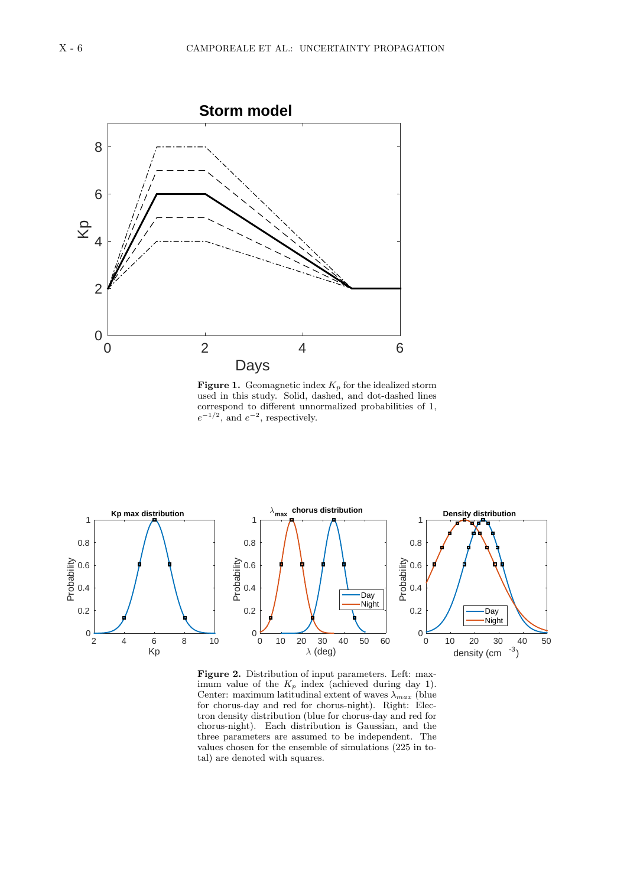

**Figure 1.** Geomagnetic index  $K_p$  for the idealized storm used in this study. Solid, dashed, and dot-dashed lines correspond to different unnormalized probabilities of 1,  $e^{-1/2}$ , and  $e^{-2}$ , respectively.



**Figure 2.** Distribution of input parameters. Left: maximum value of the  $K_p$  index (achieved during day 1). Center: maximum latitudinal extent of waves  $\lambda_{max}$  (blue for chorus-day and red for chorus-night). Right: Electron density distribution (blue for chorus-day and red for chorus-night). Each distribution is Gaussian, and the three parameters are assumed to be independent. The values chosen for the ensemble of simulations (225 in total) are denoted with squares.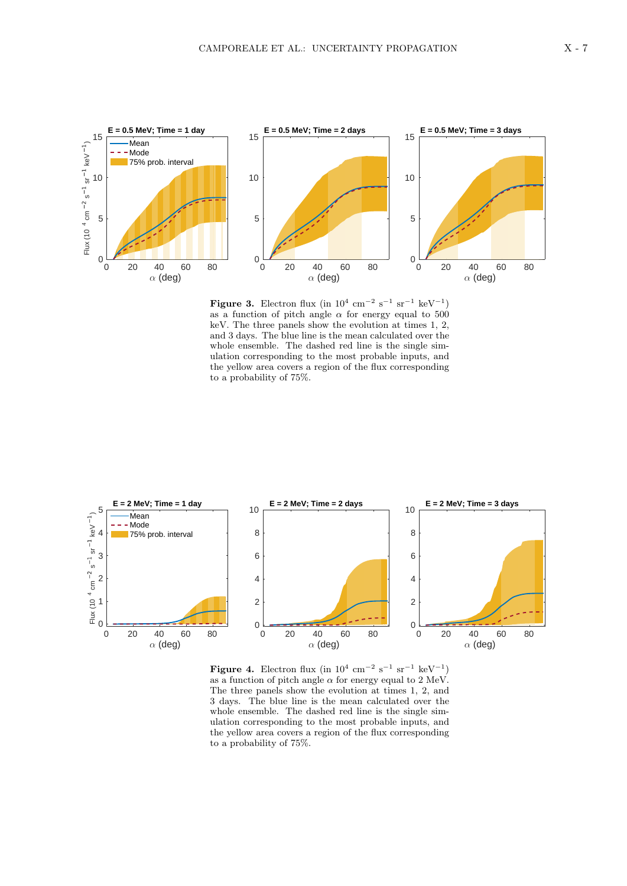

**Figure 3.** Electron flux (in  $10^4$  cm<sup>-2</sup> s<sup>-1</sup> sr<sup>-1</sup> keV<sup>-1</sup>) as a function of pitch angle  $\alpha$  for energy equal to 500 keV. The three panels show the evolution at times 1, 2, and 3 days. The blue line is the mean calculated over the whole ensemble. The dashed red line is the single simulation corresponding to the most probable inputs, and the yellow area covers a region of the flux corresponding to a probability of 75%.



**Figure 4.** Electron flux (in  $10^4$  cm<sup>-2</sup> s<sup>-1</sup> sr<sup>-1</sup> keV<sup>-1</sup>) as a function of pitch angle  $\alpha$  for energy equal to 2 MeV. The three panels show the evolution at times 1, 2, and 3 days. The blue line is the mean calculated over the whole ensemble. The dashed red line is the single simulation corresponding to the most probable inputs, and the yellow area covers a region of the flux corresponding to a probability of 75%.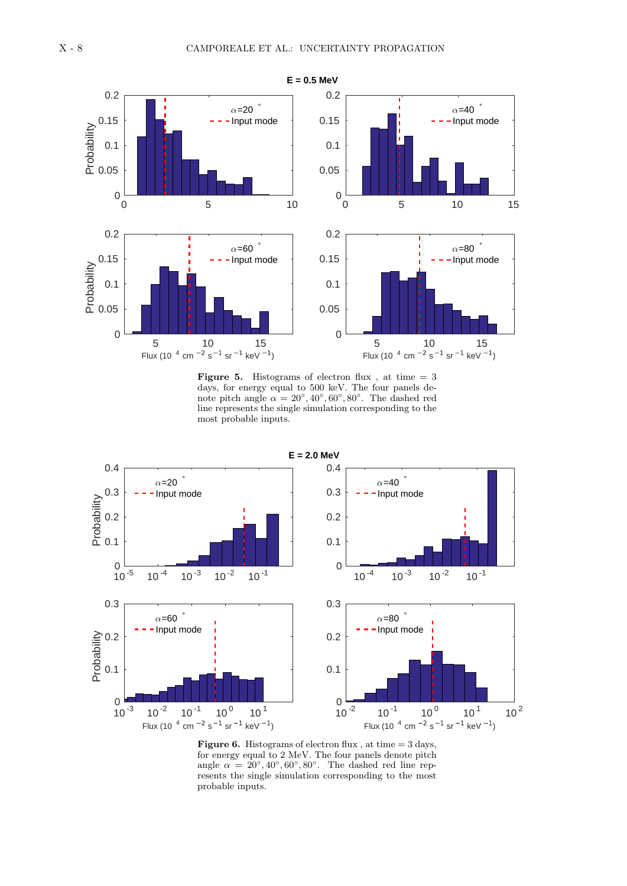

**Figure 5.** Histograms of electron flux, at time  $= 3$ days, for energy equal to 500 keV. The four panels denote pitch angle  $\alpha = 20^{\circ}, 40^{\circ}, 60^{\circ}, 80^{\circ}$ . The dashed red line represents the single simulation corresponding to the most probable inputs.



**Figure 6.** Histograms of electron flux, at time  $= 3$  days, for energy equal to 2 MeV. The four panels denote pitch angle  $\alpha = 20^{\circ}, 40^{\circ}, 60^{\circ}, 80^{\circ}$ . The dashed red line represents the single simulation corresponding to the most probable inputs.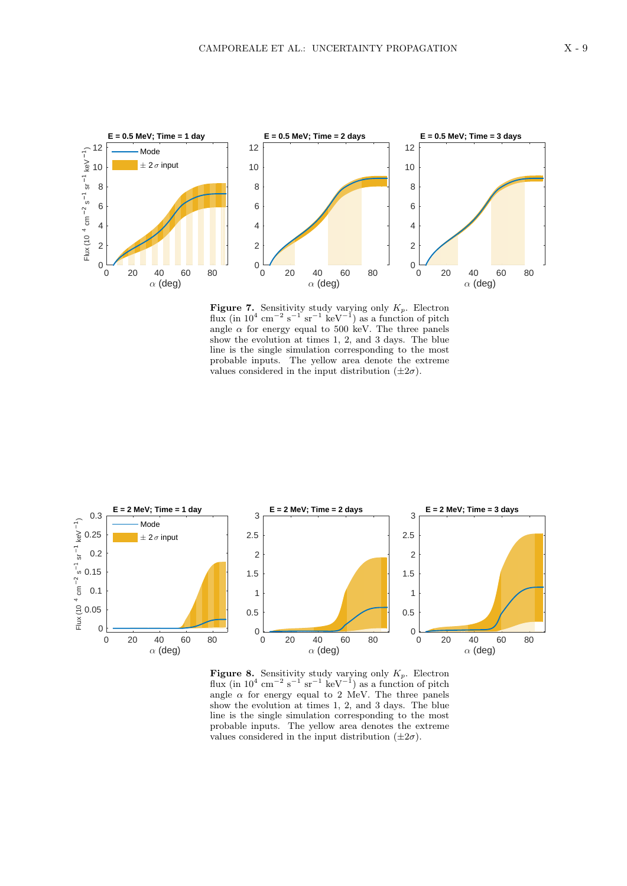

**Figure 7.** Sensitivity study varying only  $K_p$ . Electron flux (in  $10^4$  cm<sup>−2</sup> s<sup>−1</sup> sr<sup>−1</sup> keV<sup>−1</sup>) as a function of pitch angle  $\alpha$  for energy equal to 500 keV. The three panels show the evolution at times 1, 2, and 3 days. The blue line is the single simulation corresponding to the most probable inputs. The yellow area denote the extreme values considered in the input distribution  $(\pm 2\sigma)$ .



**Figure 8.** Sensitivity study varying only  $K_p$ . Electron flux (in  $10^4$  cm<sup>-2</sup> s<sup>-1°</sup> sr<sup>-1</sup> keV<sup>-1</sup>) as a function of pitch angle  $\alpha$  for energy equal to 2 MeV. The three panels show the evolution at times 1, 2, and 3 days. The blue line is the single simulation corresponding to the most probable inputs. The yellow area denotes the extreme values considered in the input distribution  $(\pm 2\sigma)$ .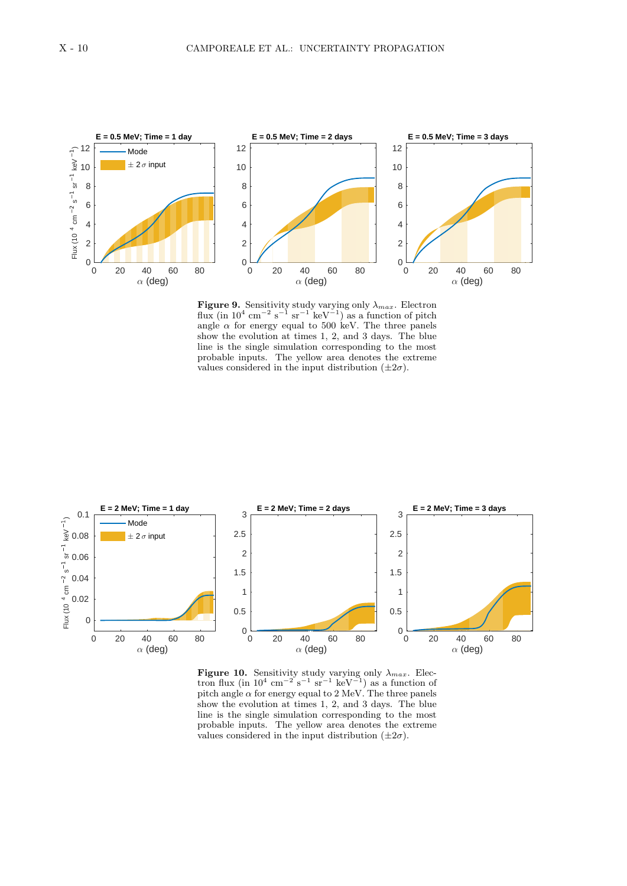

**Figure 9.** Sensitivity study varying only  $\lambda_{max}$ . Electron flux (in  $10^4$  cm<sup>-2</sup> s<sup>-1</sup> sr<sup>-1</sup> keV<sup>-1</sup>) as a function of pitch angle  $\alpha$  for energy equal to 500 keV. The three panels show the evolution at times 1, 2, and 3 days. The blue line is the single simulation corresponding to the most probable inputs. The yellow area denotes the extreme values considered in the input distribution  $(\pm 2\sigma)$ .



**Figure 10.** Sensitivity study varying only  $\lambda_{max}$ . Electron flux (in  $10^4$  cm<sup>-2</sup> s<sup>-1</sup> sr<sup>-1</sup> keV<sup>-1</sup>) as a function of pitch angle  $\alpha$  for energy equal to 2 MeV. The three panels show the evolution at times 1, 2, and 3 days. The blue line is the single simulation corresponding to the most probable inputs. The yellow area denotes the extreme values considered in the input distribution  $(\pm 2\sigma)$ .